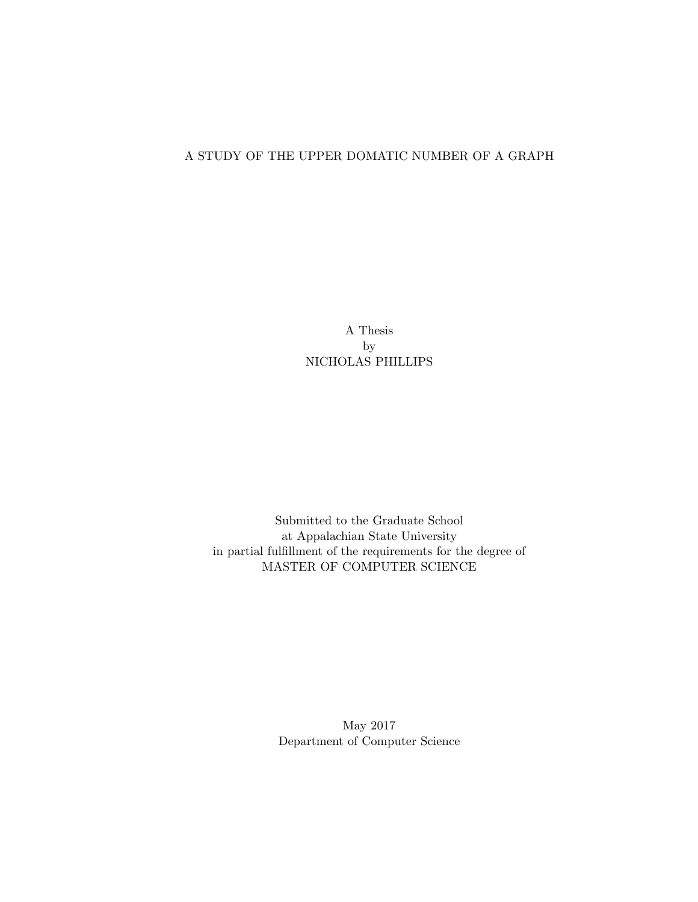#### <span id="page-0-0"></span>A STUDY OF THE UPPER DOMATIC NUMBER OF A GRAPH

A Thesis by NICHOLAS PHILLIPS

Submitted to the Graduate School at Appalachian State University in partial fulfillment of the requirements for the degree of MASTER OF COMPUTER SCIENCE

> May 2017 Department of Computer Science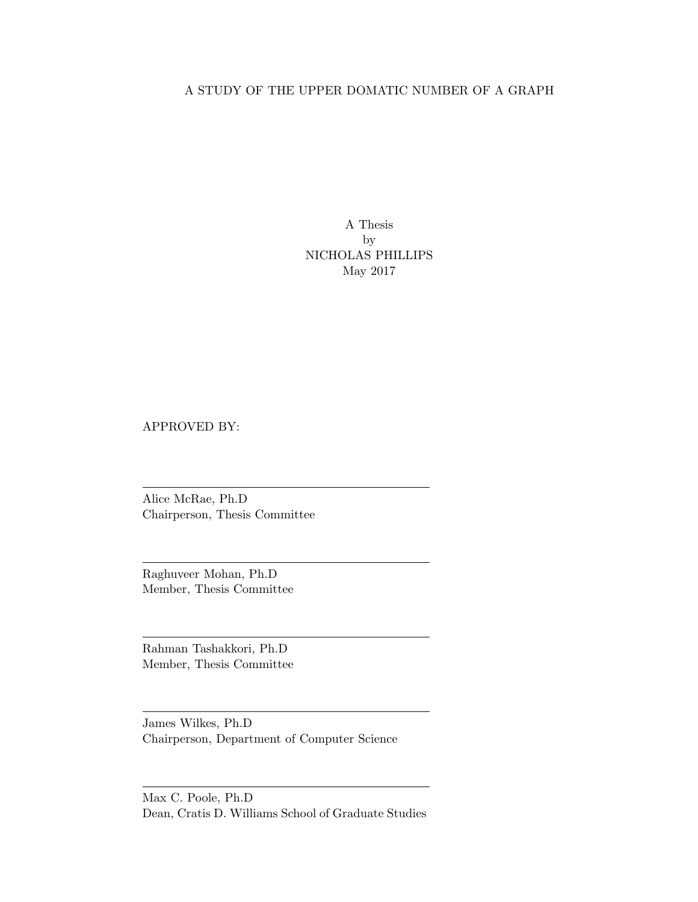#### A STUDY OF THE UPPER DOMATIC NUMBER OF A GRAPH

A Thesis by NICHOLAS PHILLIPS May 2017

APPROVED BY:

Alice McRae, Ph.D Chairperson, Thesis Committee

Raghuveer Mohan, Ph.D Member, Thesis Committee

Rahman Tashakkori, Ph.D Member, Thesis Committee

James Wilkes, Ph.D Chairperson, Department of Computer Science

Max C. Poole, Ph.D Dean, Cratis D. Williams School of Graduate Studies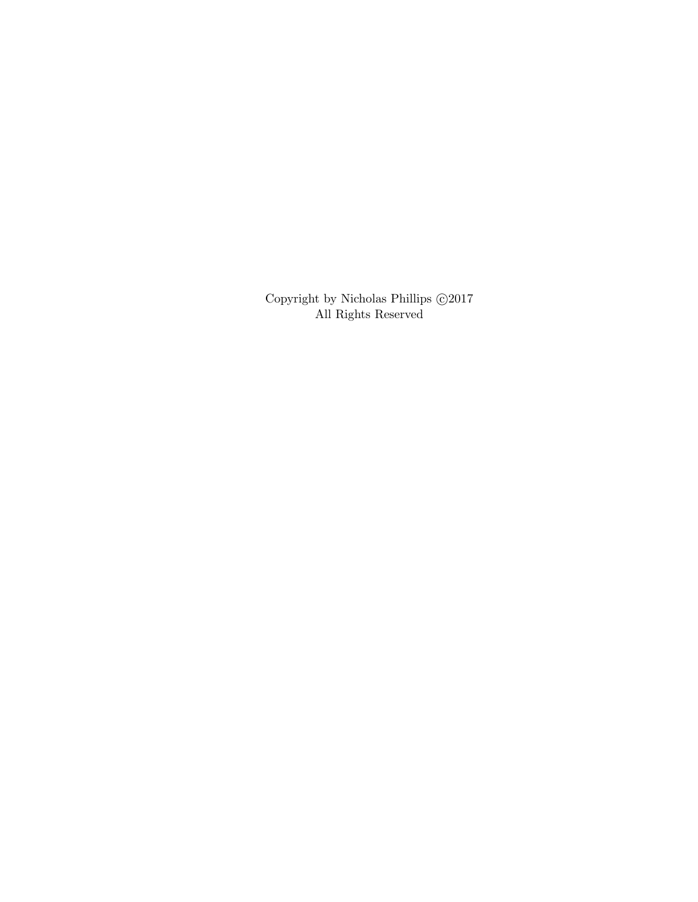Copyright by Nicholas Phillips $\odot\!2017$ All Rights Reserved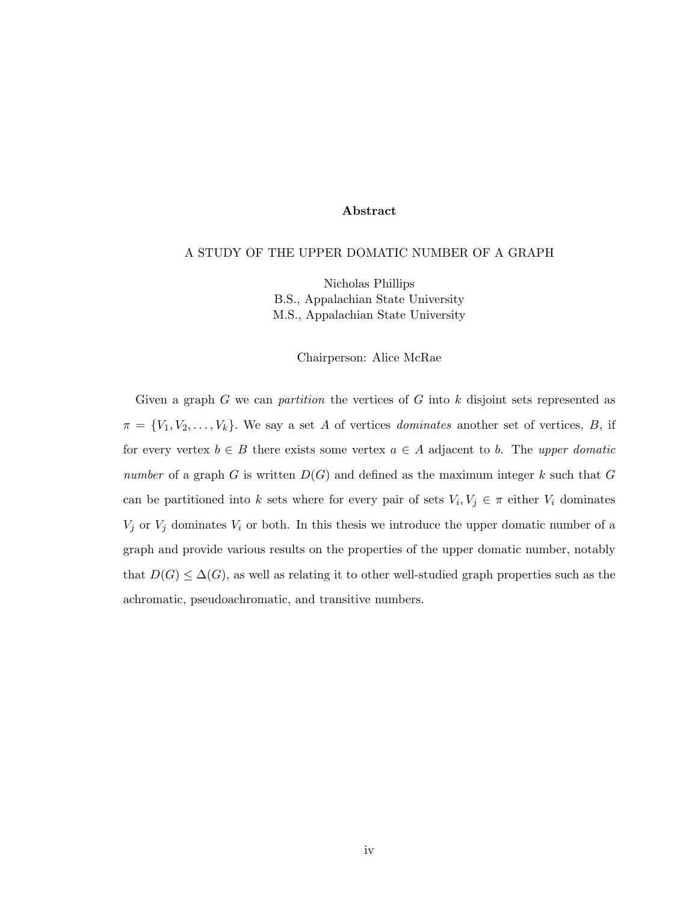#### Abstract

#### A STUDY OF THE UPPER DOMATIC NUMBER OF A GRAPH

Nicholas Phillips B.S., Appalachian State University M.S., Appalachian State University

Chairperson: Alice McRae

<span id="page-3-0"></span>Given a graph  $G$  we can *partition* the vertices of  $G$  into  $k$  disjoint sets represented as  $\pi = \{V_1, V_2, \ldots, V_k\}$ . We say a set A of vertices *dominates* another set of vertices, B, if for every vertex  $b \in B$  there exists some vertex  $a \in A$  adjacent to b. The upper domatic number of a graph G is written  $D(G)$  and defined as the maximum integer k such that G can be partitioned into k sets where for every pair of sets  $V_i, V_j \in \pi$  either  $V_i$  dominates  $V_j$  or  $V_j$  dominates  $V_i$  or both. In this thesis we introduce the upper domatic number of a graph and provide various results on the properties of the upper domatic number, notably that  $D(G) \leq \Delta(G)$ , as well as relating it to other well-studied graph properties such as the achromatic, pseudoachromatic, and transitive numbers.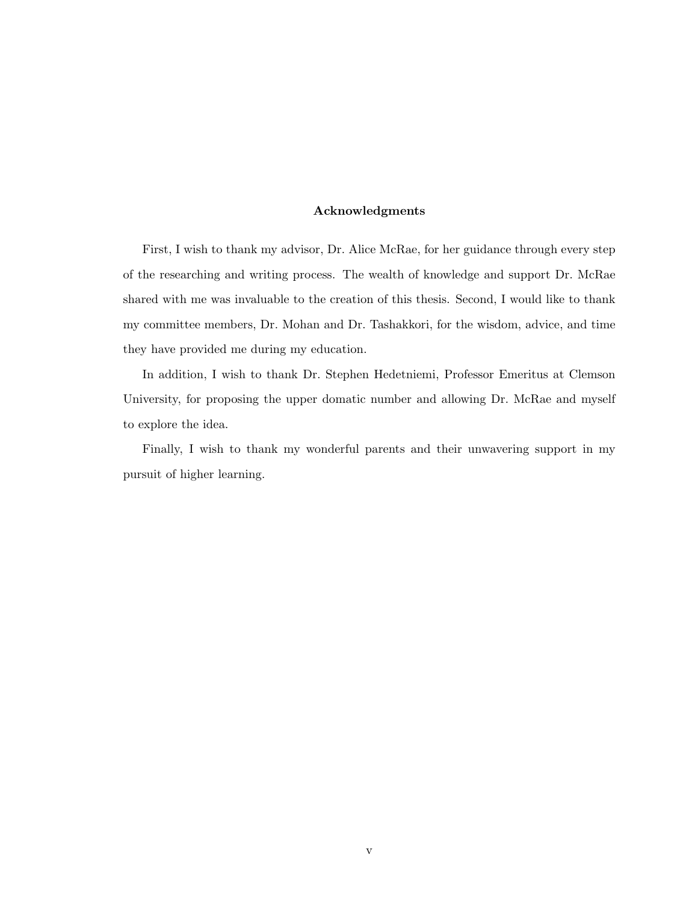#### Acknowledgments

First, I wish to thank my advisor, Dr. Alice McRae, for her guidance through every step of the researching and writing process. The wealth of knowledge and support Dr. McRae shared with me was invaluable to the creation of this thesis. Second, I would like to thank my committee members, Dr. Mohan and Dr. Tashakkori, for the wisdom, advice, and time they have provided me during my education.

In addition, I wish to thank Dr. Stephen Hedetniemi, Professor Emeritus at Clemson University, for proposing the upper domatic number and allowing Dr. McRae and myself to explore the idea.

Finally, I wish to thank my wonderful parents and their unwavering support in my pursuit of higher learning.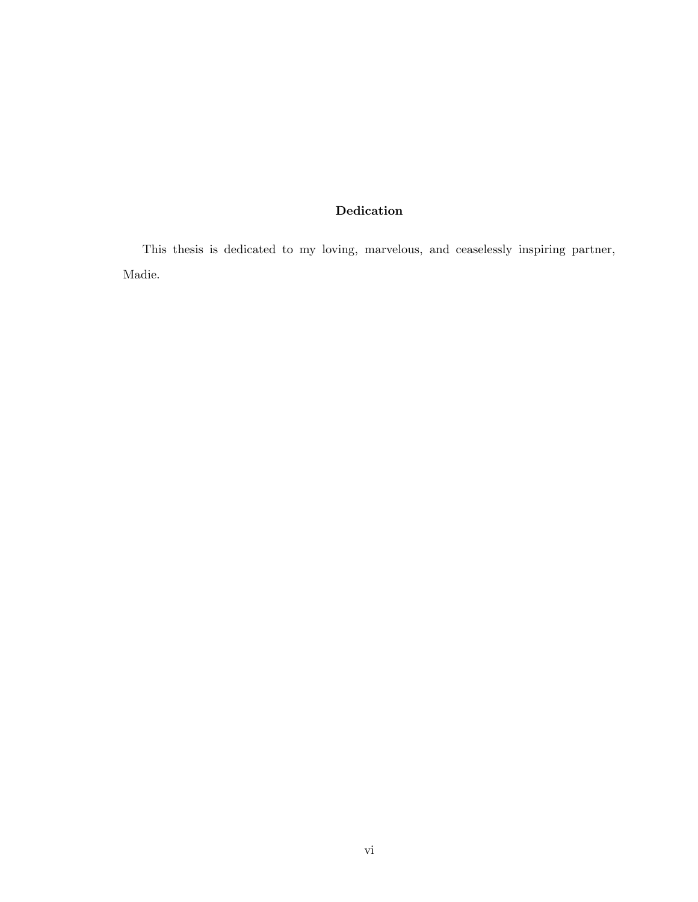#### Dedication

This thesis is dedicated to my loving, marvelous, and ceaselessly inspiring partner, Madie.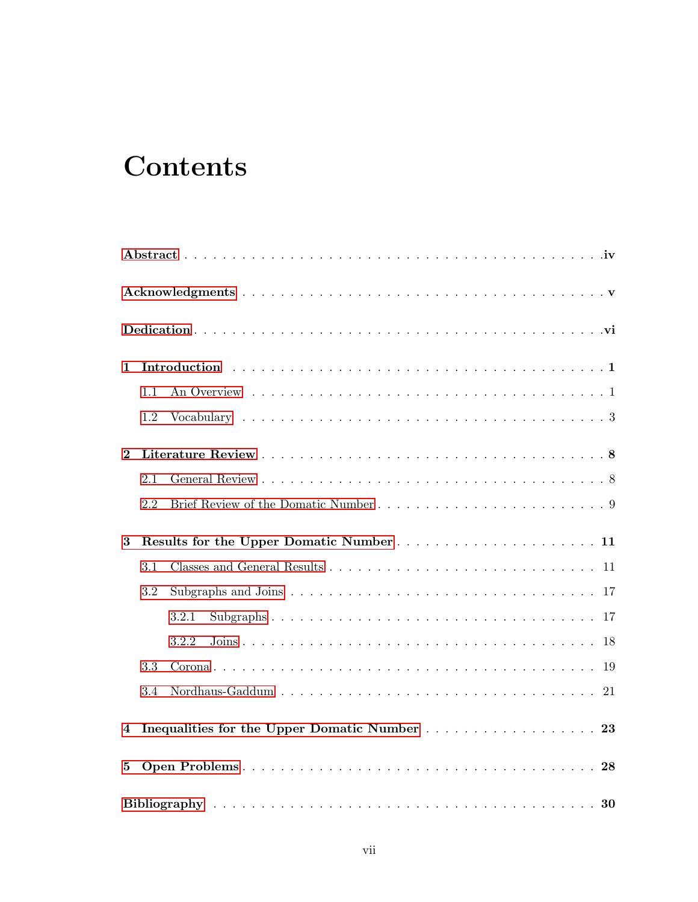## **Contents**

| 1        |     |                                              |
|----------|-----|----------------------------------------------|
|          | 1.1 |                                              |
|          | 1.2 |                                              |
| $\bf{2}$ |     |                                              |
|          | 2.1 |                                              |
|          | 2.2 |                                              |
| $\bf{3}$ |     |                                              |
|          | 3.1 |                                              |
|          | 3.2 |                                              |
|          |     | 3.2.1                                        |
|          |     | 3.2.2                                        |
|          | 3.3 |                                              |
|          | 3.4 |                                              |
| 4        |     | Inequalities for the Upper Domatic Number 23 |
| 5        |     |                                              |
|          |     |                                              |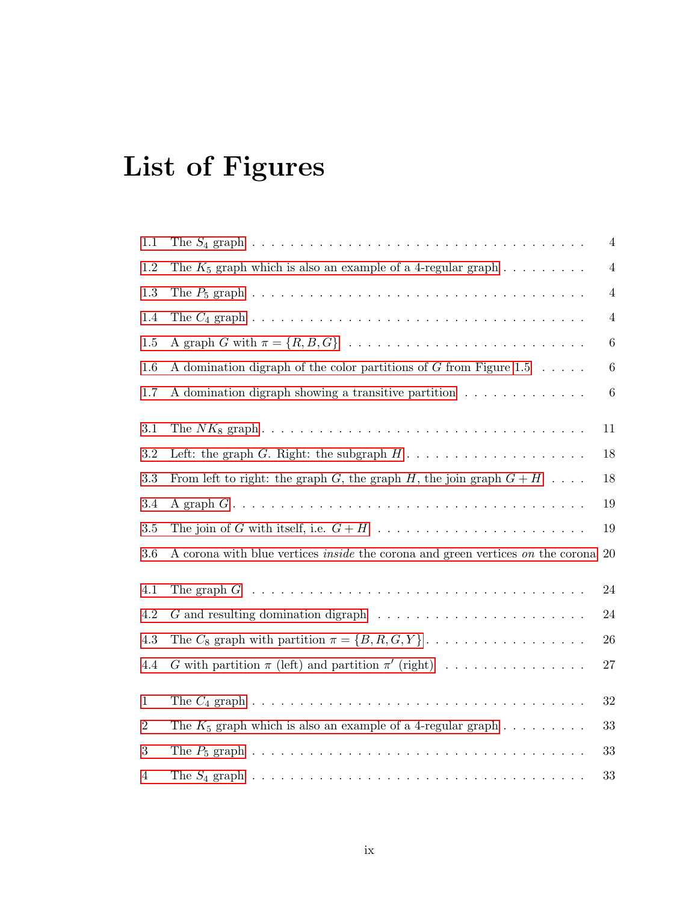# List of Figures

| 1.1            | The $S_4$ graph $\ldots \ldots \ldots \ldots \ldots \ldots \ldots \ldots \ldots \ldots \ldots \ldots$ | $\overline{4}$ |
|----------------|-------------------------------------------------------------------------------------------------------|----------------|
| 1.2            | The $K_5$ graph which is also an example of a 4-regular graph $\ldots \ldots \ldots$                  | $\overline{4}$ |
| 1.3            |                                                                                                       | $\overline{4}$ |
| 1.4            | The $C_4$ graph $\ldots \ldots \ldots \ldots \ldots \ldots \ldots \ldots \ldots \ldots \ldots \ldots$ | $\overline{4}$ |
| $1.5\,$        |                                                                                                       | $\,6\,$        |
| 1.6            | A domination digraph of the color partitions of $G$ from Figure 1.5                                   | $6\,$          |
| 1.7            | A domination digraph showing a transitive partition                                                   | $6\,$          |
| 3.1            |                                                                                                       | 11             |
| $\!3.2\!$      | Left: the graph G. Right: the subgraph $H \dots \dots \dots \dots \dots \dots \dots$                  | 18             |
| 3.3            | From left to right: the graph G, the graph H, the join graph $G + H$                                  | 18             |
| 3.4            |                                                                                                       | 19             |
| $3.5\,$        |                                                                                                       | 19             |
| 3.6            | A corona with blue vertices <i>inside</i> the corona and green vertices on the corona 20              |                |
| 4.1            |                                                                                                       | $24\,$         |
| $4.2\,$        | $G$ and resulting domination digraph $\ldots \ldots \ldots \ldots \ldots \ldots \ldots$               | $24\,$         |
| 4.3            | The $C_8$ graph with partition $\pi = \{B, R, G, Y\} \dots \dots \dots \dots \dots \dots$             | 26             |
| 4.4            | G with partition $\pi$ (left) and partition $\pi'$ (right)                                            | $27\,$         |
| $\mathbf{1}$   |                                                                                                       | $32\,$         |
| $\overline{2}$ | The $K_5$ graph which is also an example of a 4-regular graph $\ldots \ldots \ldots$                  | 33             |
| 3              |                                                                                                       | 33             |
|                |                                                                                                       |                |
| 4              | The $S_4$ graph $\ldots \ldots \ldots \ldots \ldots \ldots \ldots \ldots \ldots \ldots \ldots \ldots$ | 33             |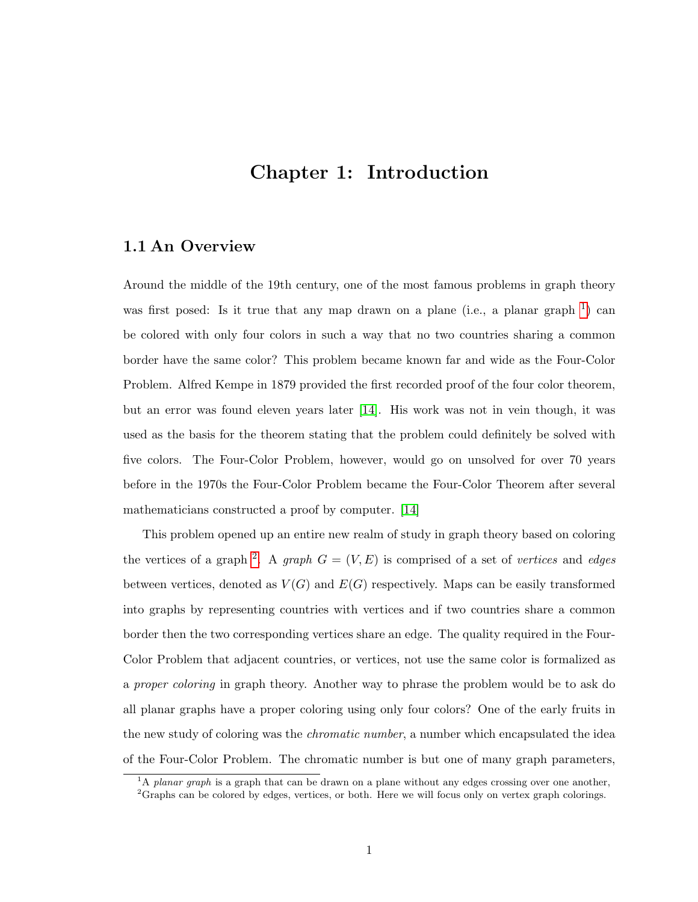## <span id="page-9-0"></span>Chapter 1: Introduction

#### <span id="page-9-1"></span>1.1 An Overview

Around the middle of the 19th century, one of the most famous problems in graph theory was first posed: Is it true that any map drawn on a plane (i.e., a planar graph  $\frac{1}{1}$  $\frac{1}{1}$  $\frac{1}{1}$ ) can be colored with only four colors in such a way that no two countries sharing a common border have the same color? This problem became known far and wide as the Four-Color Problem. Alfred Kempe in 1879 provided the first recorded proof of the four color theorem, but an error was found eleven years later [\[14\]](#page-38-0). His work was not in vein though, it was used as the basis for the theorem stating that the problem could definitely be solved with five colors. The Four-Color Problem, however, would go on unsolved for over 70 years before in the 1970s the Four-Color Problem became the Four-Color Theorem after several mathematicians constructed a proof by computer. [\[14\]](#page-38-0)

This problem opened up an entire new realm of study in graph theory based on coloring the vertices of a graph <sup>[2](#page-9-3)</sup>. A graph  $G = (V, E)$  is comprised of a set of vertices and edges between vertices, denoted as  $V(G)$  and  $E(G)$  respectively. Maps can be easily transformed into graphs by representing countries with vertices and if two countries share a common border then the two corresponding vertices share an edge. The quality required in the Four-Color Problem that adjacent countries, or vertices, not use the same color is formalized as a *proper coloring* in graph theory. Another way to phrase the problem would be to ask do all planar graphs have a proper coloring using only four colors? One of the early fruits in the new study of coloring was the *chromatic number*, a number which encapsulated the idea of the Four-Color Problem. The chromatic number is but one of many graph parameters,

<span id="page-9-2"></span> $1A$  planar graph is a graph that can be drawn on a plane without any edges crossing over one another,

<span id="page-9-3"></span><sup>2</sup>Graphs can be colored by edges, vertices, or both. Here we will focus only on vertex graph colorings.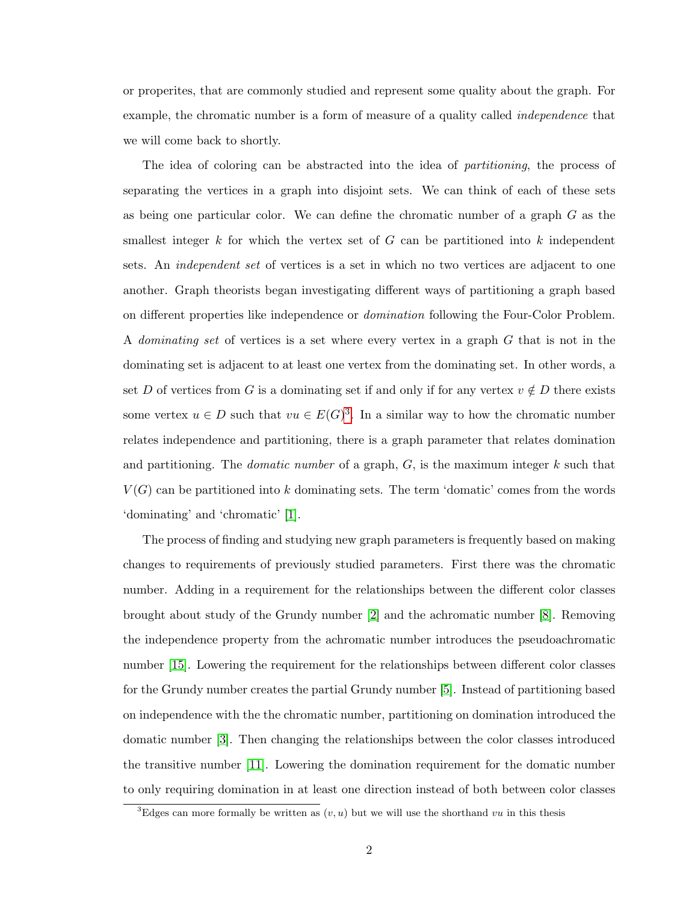or properites, that are commonly studied and represent some quality about the graph. For example, the chromatic number is a form of measure of a quality called *independence* that we will come back to shortly.

The idea of coloring can be abstracted into the idea of partitioning, the process of separating the vertices in a graph into disjoint sets. We can think of each of these sets as being one particular color. We can define the chromatic number of a graph G as the smallest integer k for which the vertex set of  $G$  can be partitioned into k independent sets. An independent set of vertices is a set in which no two vertices are adjacent to one another. Graph theorists began investigating different ways of partitioning a graph based on different properties like independence or *domination* following the Four-Color Problem. A dominating set of vertices is a set where every vertex in a graph G that is not in the dominating set is adjacent to at least one vertex from the dominating set. In other words, a set D of vertices from G is a dominating set if and only if for any vertex  $v \notin D$  there exists some vertex  $u \in D$  such that  $vu \in E(G)^3$  $vu \in E(G)^3$ . In a similar way to how the chromatic number relates independence and partitioning, there is a graph parameter that relates domination and partitioning. The *domatic number* of a graph,  $G$ , is the maximum integer  $k$  such that  $V(G)$  can be partitioned into k dominating sets. The term 'domatic' comes from the words 'dominating' and 'chromatic' [\[1\]](#page-37-1).

The process of finding and studying new graph parameters is frequently based on making changes to requirements of previously studied parameters. First there was the chromatic number. Adding in a requirement for the relationships between the different color classes brought about study of the Grundy number [\[2\]](#page-37-2) and the achromatic number [\[8\]](#page-37-3). Removing the independence property from the achromatic number introduces the pseudoachromatic number [\[15\]](#page-38-1). Lowering the requirement for the relationships between different color classes for the Grundy number creates the partial Grundy number [\[5\]](#page-37-4). Instead of partitioning based on independence with the the chromatic number, partitioning on domination introduced the domatic number [\[3\]](#page-37-5). Then changing the relationships between the color classes introduced the transitive number [\[11\]](#page-38-2). Lowering the domination requirement for the domatic number to only requiring domination in at least one direction instead of both between color classes

<span id="page-10-0"></span><sup>&</sup>lt;sup>3</sup>Edges can more formally be written as  $(v, u)$  but we will use the shorthand vu in this thesis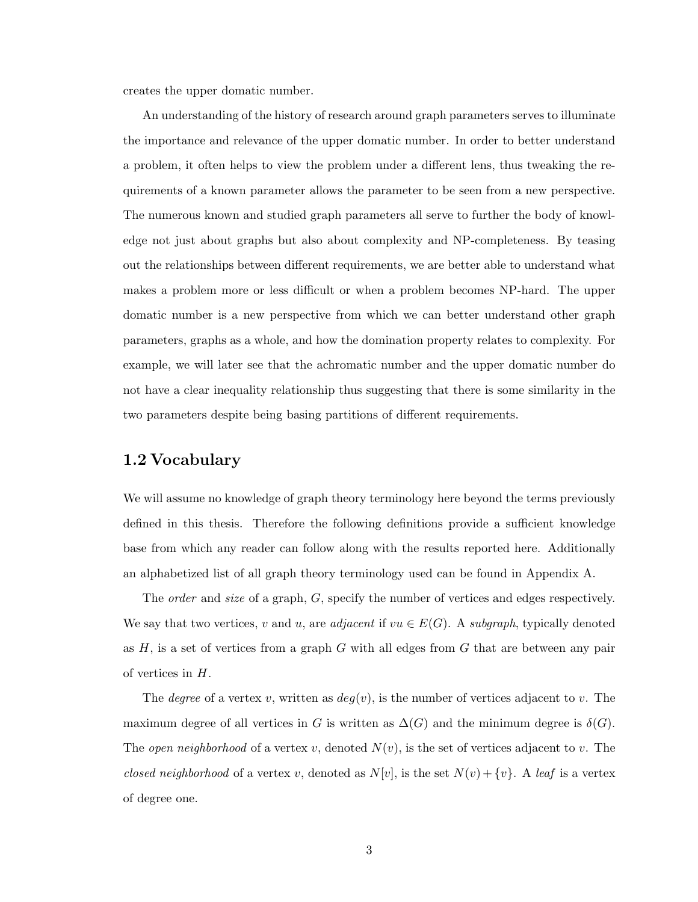creates the upper domatic number.

An understanding of the history of research around graph parameters serves to illuminate the importance and relevance of the upper domatic number. In order to better understand a problem, it often helps to view the problem under a different lens, thus tweaking the requirements of a known parameter allows the parameter to be seen from a new perspective. The numerous known and studied graph parameters all serve to further the body of knowledge not just about graphs but also about complexity and NP-completeness. By teasing out the relationships between different requirements, we are better able to understand what makes a problem more or less difficult or when a problem becomes NP-hard. The upper domatic number is a new perspective from which we can better understand other graph parameters, graphs as a whole, and how the domination property relates to complexity. For example, we will later see that the achromatic number and the upper domatic number do not have a clear inequality relationship thus suggesting that there is some similarity in the two parameters despite being basing partitions of different requirements.

#### <span id="page-11-0"></span>1.2 Vocabulary

We will assume no knowledge of graph theory terminology here beyond the terms previously defined in this thesis. Therefore the following definitions provide a sufficient knowledge base from which any reader can follow along with the results reported here. Additionally an alphabetized list of all graph theory terminology used can be found in Appendix A.

The *order* and *size* of a graph, G, specify the number of vertices and edges respectively. We say that two vertices, v and u, are adjacent if  $vu \in E(G)$ . A subgraph, typically denoted as  $H$ , is a set of vertices from a graph  $G$  with all edges from  $G$  that are between any pair of vertices in H.

The degree of a vertex v, written as  $deg(v)$ , is the number of vertices adjacent to v. The maximum degree of all vertices in G is written as  $\Delta(G)$  and the minimum degree is  $\delta(G)$ . The *open neighborhood* of a vertex v, denoted  $N(v)$ , is the set of vertices adjacent to v. The closed neighborhood of a vertex v, denoted as  $N[v]$ , is the set  $N(v) + \{v\}$ . A leaf is a vertex of degree one.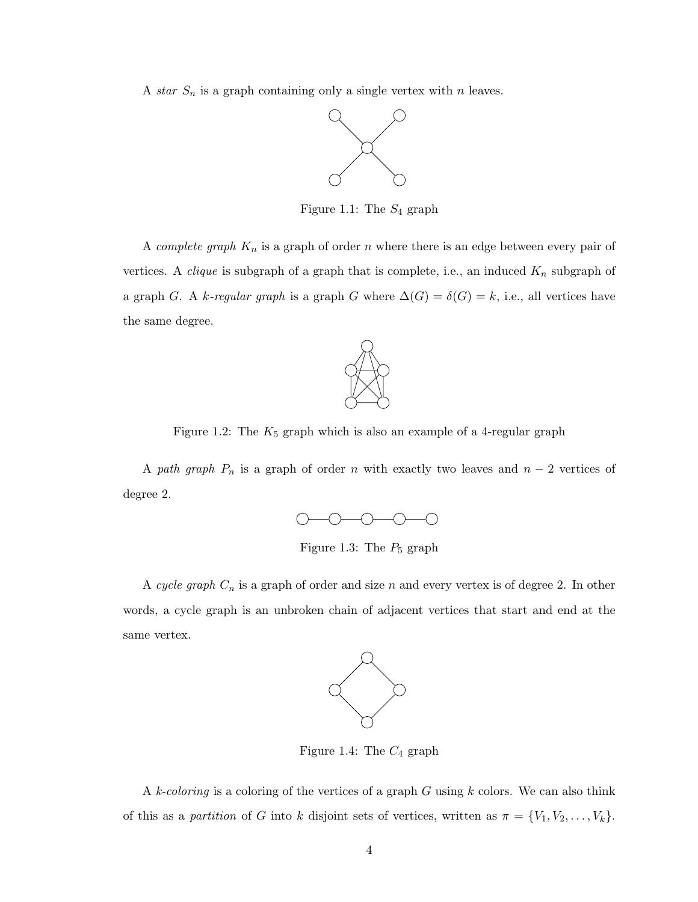A star  $S_n$  is a graph containing only a single vertex with n leaves.

<span id="page-12-0"></span>

Figure 1.1: The  $S_4$  graph

A *complete graph*  $K_n$  is a graph of order n where there is an edge between every pair of vertices. A *clique* is subgraph of a graph that is complete, i.e., an induced  $K_n$  subgraph of a graph G. A k-regular graph is a graph G where  $\Delta(G) = \delta(G) = k$ , i.e., all vertices have the same degree.



Figure 1.2: The  $K_5$  graph which is also an example of a 4-regular graph

A path graph  $P_n$  is a graph of order n with exactly two leaves and  $n-2$  vertices of degree 2.

<span id="page-12-1"></span>

<span id="page-12-2"></span>Figure 1.3: The  $P_5$  graph

A cycle graph  $C_n$  is a graph of order and size n and every vertex is of degree 2. In other words, a cycle graph is an unbroken chain of adjacent vertices that start and end at the same vertex.

<span id="page-12-3"></span>

Figure 1.4: The  $C_4$  graph

A k-coloring is a coloring of the vertices of a graph  $G$  using  $k$  colors. We can also think of this as a partition of G into k disjoint sets of vertices, written as  $\pi = \{V_1, V_2, \ldots, V_k\}.$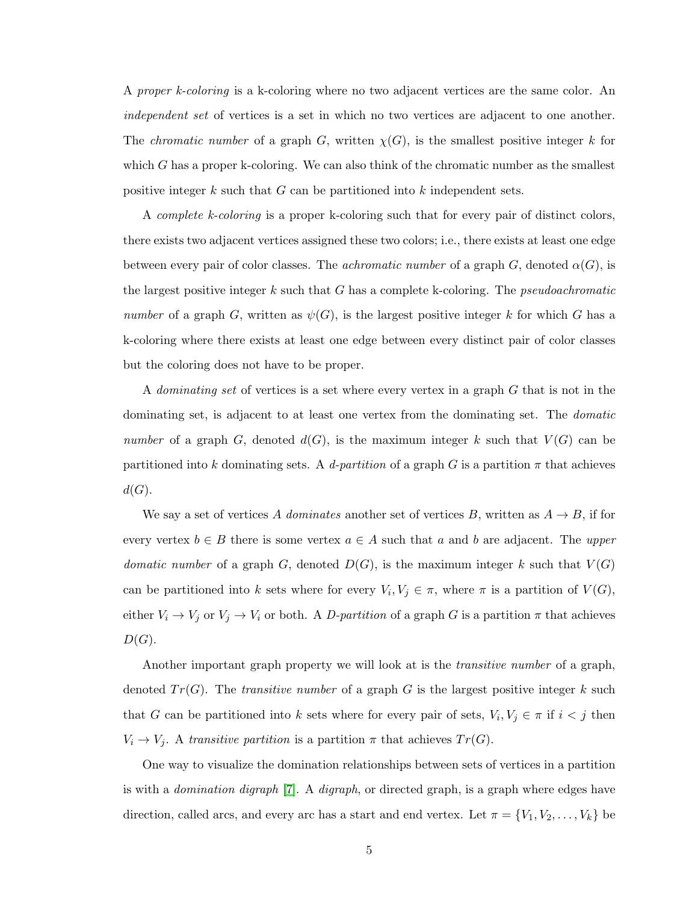A *proper k-coloring* is a k-coloring where no two adjacent vertices are the same color. An independent set of vertices is a set in which no two vertices are adjacent to one another. The *chromatic number* of a graph G, written  $\chi(G)$ , is the smallest positive integer k for which  $G$  has a proper k-coloring. We can also think of the chromatic number as the smallest positive integer k such that  $G$  can be partitioned into k independent sets.

A complete k-coloring is a proper k-coloring such that for every pair of distinct colors, there exists two adjacent vertices assigned these two colors; i.e., there exists at least one edge between every pair of color classes. The *achromatic number* of a graph G, denoted  $\alpha(G)$ , is the largest positive integer  $k$  such that  $G$  has a complete k-coloring. The *pseudoachromatic* number of a graph G, written as  $\psi(G)$ , is the largest positive integer k for which G has a k-coloring where there exists at least one edge between every distinct pair of color classes but the coloring does not have to be proper.

A *dominating set* of vertices is a set where every vertex in a graph G that is not in the dominating set, is adjacent to at least one vertex from the dominating set. The domatic number of a graph G, denoted  $d(G)$ , is the maximum integer k such that  $V(G)$  can be partitioned into k dominating sets. A d-partition of a graph G is a partition  $\pi$  that achieves  $d(G)$ .

We say a set of vertices A dominates another set of vertices B, written as  $A \rightarrow B$ , if for every vertex  $b \in B$  there is some vertex  $a \in A$  such that a and b are adjacent. The upper domatic number of a graph G, denoted  $D(G)$ , is the maximum integer k such that  $V(G)$ can be partitioned into k sets where for every  $V_i, V_j \in \pi$ , where  $\pi$  is a partition of  $V(G)$ , either  $V_i \to V_j$  or  $V_j \to V_i$  or both. A D-partition of a graph G is a partition  $\pi$  that achieves  $D(G).$ 

Another important graph property we will look at is the *transitive number* of a graph, denoted  $Tr(G)$ . The *transitive number* of a graph G is the largest positive integer k such that G can be partitioned into k sets where for every pair of sets,  $V_i, V_j \in \pi$  if  $i < j$  then  $V_i \rightarrow V_j$ . A transitive partition is a partition  $\pi$  that achieves  $Tr(G)$ .

One way to visualize the domination relationships between sets of vertices in a partition is with a *domination digraph* [\[7\]](#page-37-6). A *digraph*, or directed graph, is a graph where edges have direction, called arcs, and every arc has a start and end vertex. Let  $\pi = \{V_1, V_2, \ldots, V_k\}$  be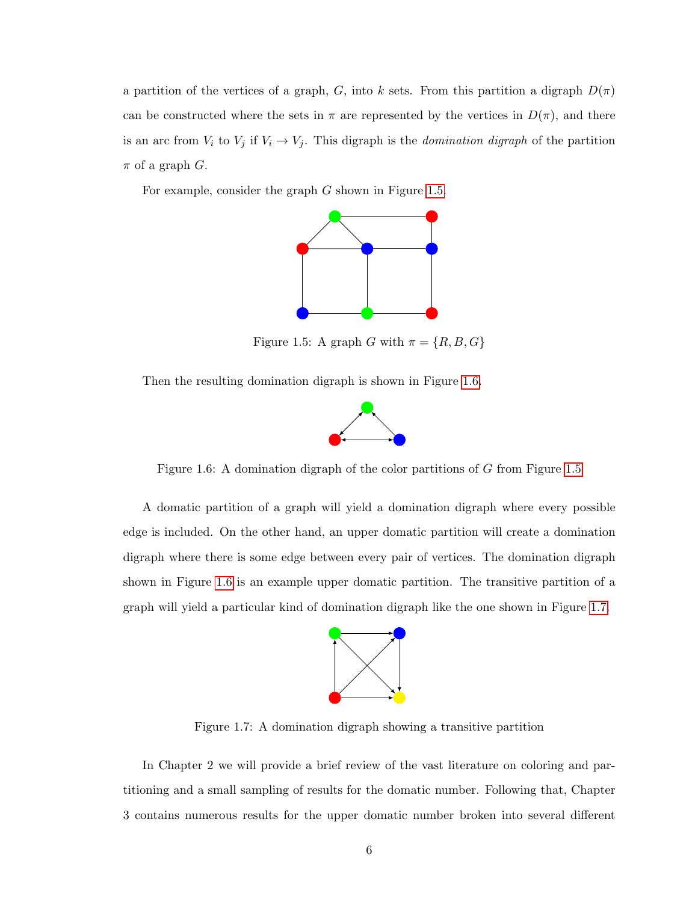a partition of the vertices of a graph, G, into k sets. From this partition a digraph  $D(\pi)$ can be constructed where the sets in  $\pi$  are represented by the vertices in  $D(\pi)$ , and there is an arc from  $V_i$  to  $V_j$  if  $V_i \rightarrow V_j$ . This digraph is the *domination digraph* of the partition  $\pi$  of a graph  $G$ .

For example, consider the graph G shown in Figure [1.5.](#page-14-0)



Figure 1.5: A graph G with  $\pi = \{R, B, G\}$ 

Then the resulting domination digraph is shown in Figure [1.6.](#page-14-1)

<span id="page-14-1"></span><span id="page-14-0"></span>

Figure 1.6: A domination digraph of the color partitions of G from Figure [1.5](#page-14-0)

A domatic partition of a graph will yield a domination digraph where every possible edge is included. On the other hand, an upper domatic partition will create a domination digraph where there is some edge between every pair of vertices. The domination digraph shown in Figure [1.6](#page-14-1) is an example upper domatic partition. The transitive partition of a graph will yield a particular kind of domination digraph like the one shown in Figure [1.7.](#page-14-2)

<span id="page-14-2"></span>

Figure 1.7: A domination digraph showing a transitive partition

In Chapter 2 we will provide a brief review of the vast literature on coloring and partitioning and a small sampling of results for the domatic number. Following that, Chapter 3 contains numerous results for the upper domatic number broken into several different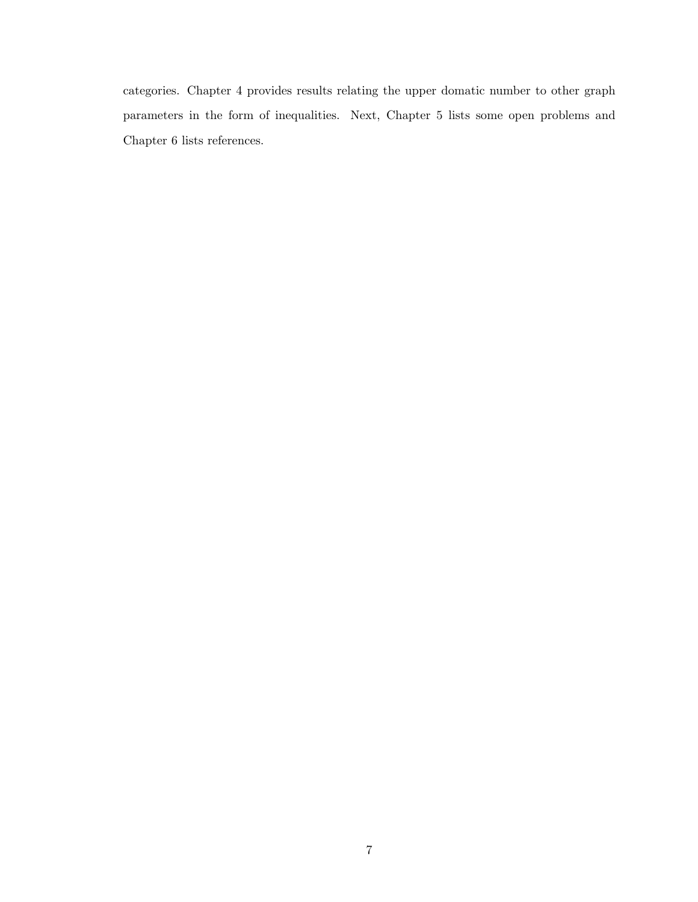categories. Chapter 4 provides results relating the upper domatic number to other graph parameters in the form of inequalities. Next, Chapter 5 lists some open problems and Chapter 6 lists references.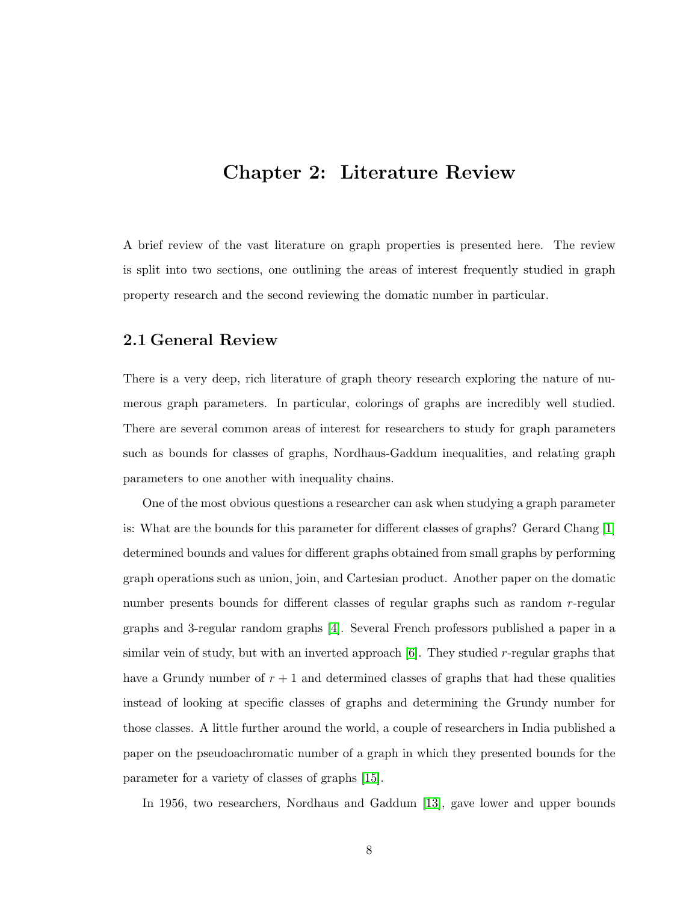### <span id="page-16-0"></span>Chapter 2: Literature Review

A brief review of the vast literature on graph properties is presented here. The review is split into two sections, one outlining the areas of interest frequently studied in graph property research and the second reviewing the domatic number in particular.

#### <span id="page-16-1"></span>2.1 General Review

There is a very deep, rich literature of graph theory research exploring the nature of numerous graph parameters. In particular, colorings of graphs are incredibly well studied. There are several common areas of interest for researchers to study for graph parameters such as bounds for classes of graphs, Nordhaus-Gaddum inequalities, and relating graph parameters to one another with inequality chains.

One of the most obvious questions a researcher can ask when studying a graph parameter is: What are the bounds for this parameter for different classes of graphs? Gerard Chang [\[1\]](#page-37-1) determined bounds and values for different graphs obtained from small graphs by performing graph operations such as union, join, and Cartesian product. Another paper on the domatic number presents bounds for different classes of regular graphs such as random r-regular graphs and 3-regular random graphs [\[4\]](#page-37-7). Several French professors published a paper in a similar vein of study, but with an inverted approach  $[6]$ . They studied r-regular graphs that have a Grundy number of  $r + 1$  and determined classes of graphs that had these qualities instead of looking at specific classes of graphs and determining the Grundy number for those classes. A little further around the world, a couple of researchers in India published a paper on the pseudoachromatic number of a graph in which they presented bounds for the parameter for a variety of classes of graphs [\[15\]](#page-38-1).

In 1956, two researchers, Nordhaus and Gaddum [\[13\]](#page-38-3), gave lower and upper bounds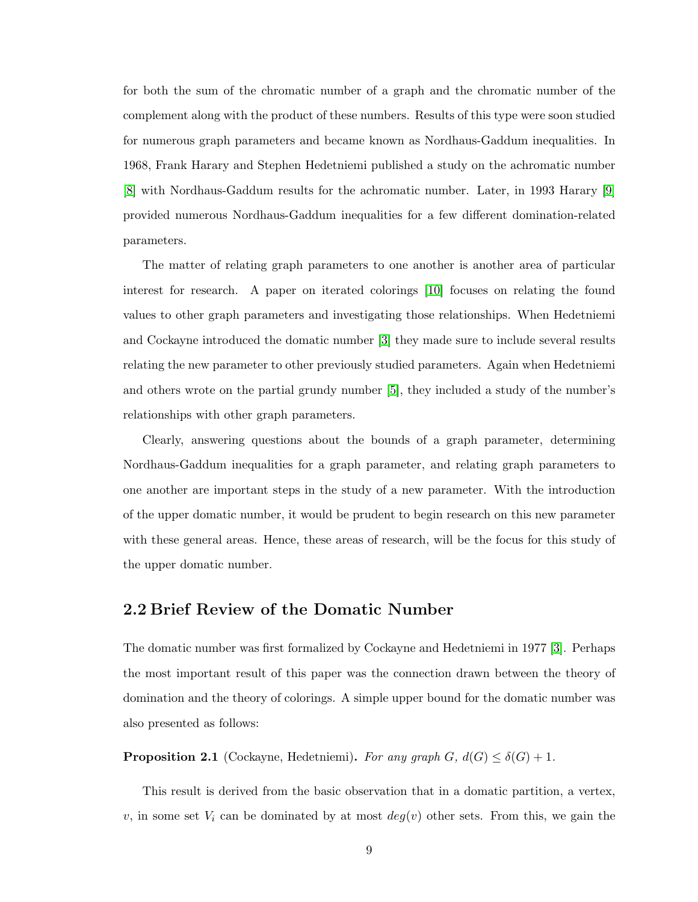for both the sum of the chromatic number of a graph and the chromatic number of the complement along with the product of these numbers. Results of this type were soon studied for numerous graph parameters and became known as Nordhaus-Gaddum inequalities. In 1968, Frank Harary and Stephen Hedetniemi published a study on the achromatic number [\[8\]](#page-37-3) with Nordhaus-Gaddum results for the achromatic number. Later, in 1993 Harary [\[9\]](#page-37-9) provided numerous Nordhaus-Gaddum inequalities for a few different domination-related parameters.

The matter of relating graph parameters to one another is another area of particular interest for research. A paper on iterated colorings [\[10\]](#page-38-4) focuses on relating the found values to other graph parameters and investigating those relationships. When Hedetniemi and Cockayne introduced the domatic number [\[3\]](#page-37-5) they made sure to include several results relating the new parameter to other previously studied parameters. Again when Hedetniemi and others wrote on the partial grundy number [\[5\]](#page-37-4), they included a study of the number's relationships with other graph parameters.

Clearly, answering questions about the bounds of a graph parameter, determining Nordhaus-Gaddum inequalities for a graph parameter, and relating graph parameters to one another are important steps in the study of a new parameter. With the introduction of the upper domatic number, it would be prudent to begin research on this new parameter with these general areas. Hence, these areas of research, will be the focus for this study of the upper domatic number.

#### <span id="page-17-0"></span>2.2 Brief Review of the Domatic Number

The domatic number was first formalized by Cockayne and Hedetniemi in 1977 [\[3\]](#page-37-5). Perhaps the most important result of this paper was the connection drawn between the theory of domination and the theory of colorings. A simple upper bound for the domatic number was also presented as follows:

**Proposition 2.1** (Cockayne, Hedetniemi). For any graph  $G$ ,  $d(G) \leq \delta(G) + 1$ .

This result is derived from the basic observation that in a domatic partition, a vertex, v, in some set  $V_i$  can be dominated by at most  $deg(v)$  other sets. From this, we gain the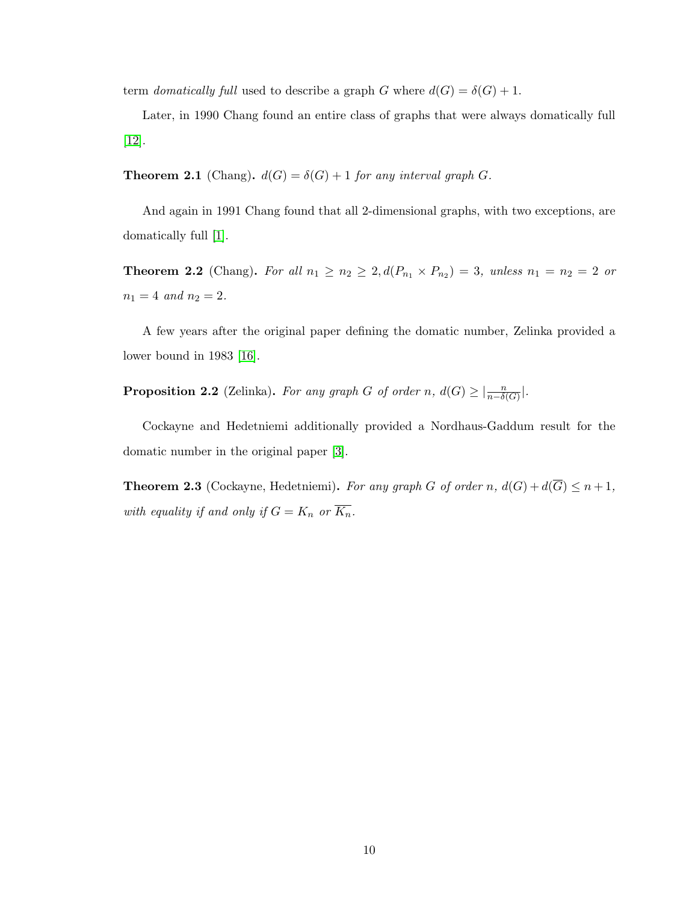term domatically full used to describe a graph G where  $d(G) = \delta(G) + 1$ .

Later, in 1990 Chang found an entire class of graphs that were always domatically full [\[12\]](#page-38-5).

**Theorem 2.1** (Chang).  $d(G) = \delta(G) + 1$  for any interval graph G.

And again in 1991 Chang found that all 2-dimensional graphs, with two exceptions, are domatically full [\[1\]](#page-37-1).

**Theorem 2.2** (Chang). For all  $n_1 \geq n_2 \geq 2$ ,  $d(P_{n_1} \times P_{n_2}) = 3$ , unless  $n_1 = n_2 = 2$  or  $n_1 = 4$  and  $n_2 = 2$ .

A few years after the original paper defining the domatic number, Zelinka provided a lower bound in 1983 [\[16\]](#page-38-6).

**Proposition 2.2** (Zelinka). For any graph G of order n,  $d(G) \geq \left| \frac{n}{n-\delta(G)} \right|$ .

Cockayne and Hedetniemi additionally provided a Nordhaus-Gaddum result for the domatic number in the original paper [\[3\]](#page-37-5).

**Theorem 2.3** (Cockayne, Hedetniemi). For any graph G of order n,  $d(G) + d(\overline{G}) \leq n+1$ , with equality if and only if  $G = K_n$  or  $\overline{K_n}$ .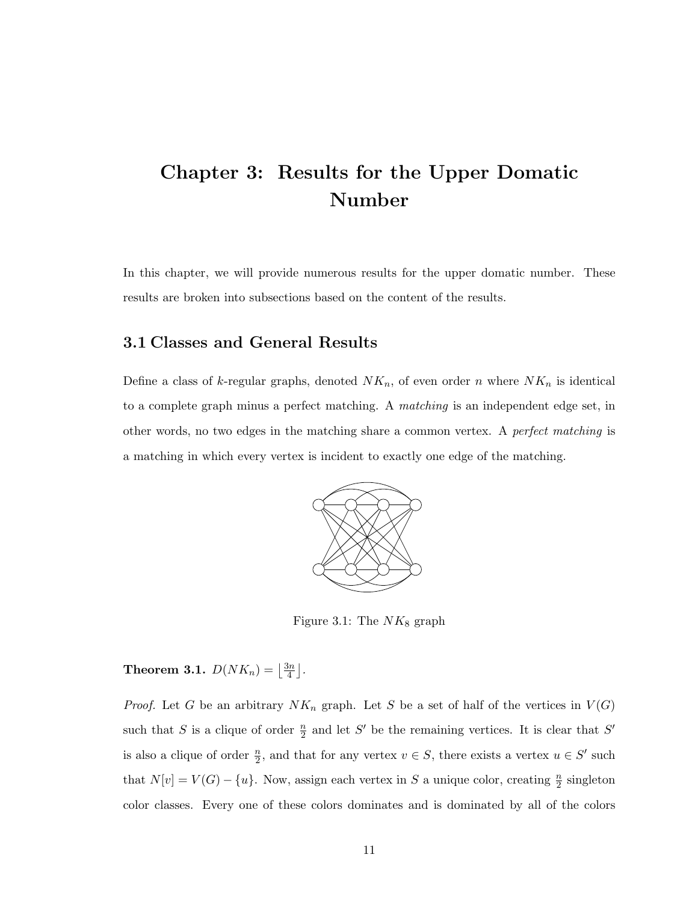## <span id="page-19-0"></span>Chapter 3: Results for the Upper Domatic Number

In this chapter, we will provide numerous results for the upper domatic number. These results are broken into subsections based on the content of the results.

#### <span id="page-19-1"></span>3.1 Classes and General Results

Define a class of k-regular graphs, denoted  $NK_n$ , of even order n where  $NK_n$  is identical to a complete graph minus a perfect matching. A matching is an independent edge set, in other words, no two edges in the matching share a common vertex. A perfect matching is a matching in which every vertex is incident to exactly one edge of the matching.



<span id="page-19-2"></span>Figure 3.1: The  $NK_8$  graph

<span id="page-19-3"></span>**Theorem 3.1.**  $D(NK_n) = \left\lfloor \frac{3n}{4} \right\rfloor$  $\frac{3n}{4}$ .

*Proof.* Let G be an arbitrary  $NK_n$  graph. Let S be a set of half of the vertices in  $V(G)$ such that S is a clique of order  $\frac{n}{2}$  and let S' be the remaining vertices. It is clear that S' is also a clique of order  $\frac{n}{2}$ , and that for any vertex  $v \in S$ , there exists a vertex  $u \in S'$  such that  $N[v] = V(G) - \{u\}$ . Now, assign each vertex in S a unique color, creating  $\frac{n}{2}$  singleton color classes. Every one of these colors dominates and is dominated by all of the colors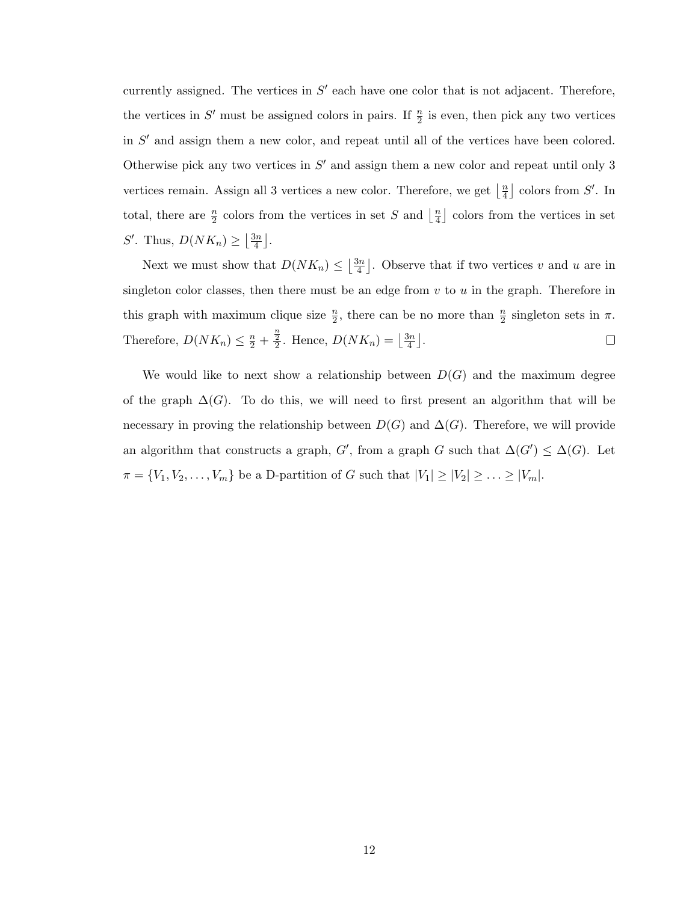currently assigned. The vertices in  $S'$  each have one color that is not adjacent. Therefore, the vertices in  $S'$  must be assigned colors in pairs. If  $\frac{n}{2}$  is even, then pick any two vertices in  $S'$  and assign them a new color, and repeat until all of the vertices have been colored. Otherwise pick any two vertices in  $S'$  and assign them a new color and repeat until only 3 vertices remain. Assign all 3 vertices a new color. Therefore, we get  $\frac{1}{4}$  $\frac{n}{4}$  colors from S'. In total, there are  $\frac{n}{2}$  colors from the vertices in set S and  $\frac{n}{4}$  $\frac{n}{4}$  colors from the vertices in set S'. Thus,  $D(NK_n) \geq \left|\frac{3n}{4}\right|$  $\frac{3n}{4}$ .

Next we must show that  $D(NK_n) \leq \left|\frac{3n}{4}\right|$  $\left\lfloor \frac{3n}{4} \right\rfloor$ . Observe that if two vertices v and u are in singleton color classes, then there must be an edge from  $v$  to  $u$  in the graph. Therefore in this graph with maximum clique size  $\frac{n}{2}$ , there can be no more than  $\frac{n}{2}$  singleton sets in  $\pi$ . Therefore,  $D(NK_n) \leq \frac{n}{2} + \frac{\frac{n}{2}}{2}$ . Hence,  $D(NK_n) = \left\lfloor \frac{3n}{4} \right\rfloor$  $\frac{3n}{4}$ .  $\Box$ 

We would like to next show a relationship between  $D(G)$  and the maximum degree of the graph  $\Delta(G)$ . To do this, we will need to first present an algorithm that will be necessary in proving the relationship between  $D(G)$  and  $\Delta(G)$ . Therefore, we will provide an algorithm that constructs a graph, G', from a graph G such that  $\Delta(G') \leq \Delta(G)$ . Let  $\pi = \{V_1, V_2, \ldots, V_m\}$  be a D-partition of G such that  $|V_1| \geq |V_2| \geq \ldots \geq |V_m|$ .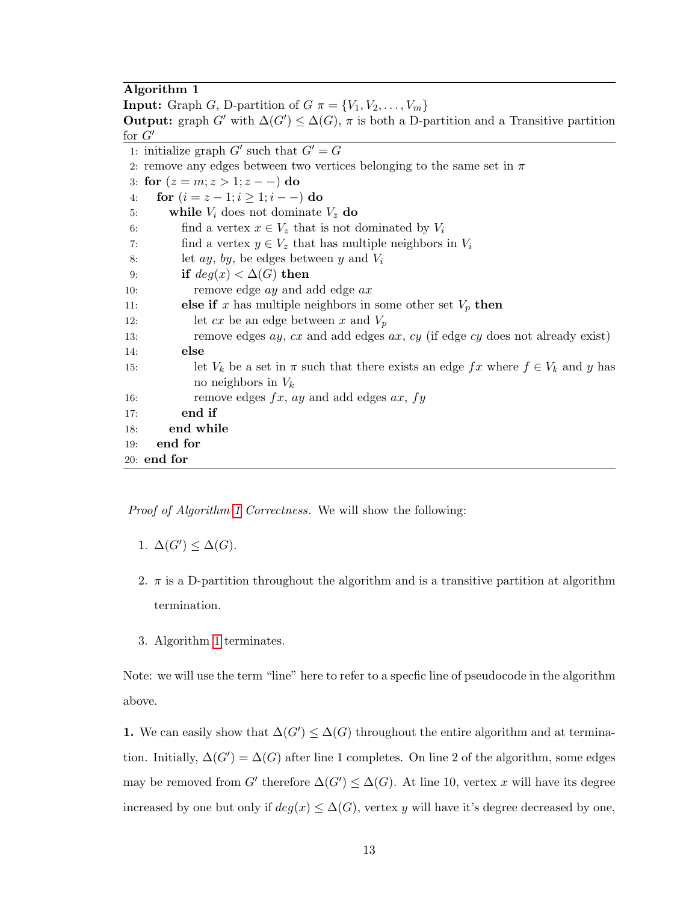#### Algorithm 1

<span id="page-21-0"></span>**Input:** Graph G, D-partition of  $G \pi = \{V_1, V_2, \ldots, V_m\}$ **Output:** graph  $G'$  with  $\Delta(G') \leq \Delta(G)$ ,  $\pi$  is both a D-partition and a Transitive partition for  $G'$ 1: initialize graph  $G'$  such that  $G' = G$ 2: remove any edges between two vertices belonging to the same set in  $\pi$ 3: for  $(z = m; z > 1; z - -)$  do 4: **for**  $(i = z - 1; i \geq 1; i - -)$  do 5: while  $V_i$  does not dominate  $V_z$  do 6: find a vertex  $x \in V_z$  that is not dominated by  $V_i$ 7: find a vertex  $y \in V_z$  that has multiple neighbors in  $V_i$ 8: let  $ay, by, be edges between y and V_i$ 9: if  $deg(x) < \Delta(G)$  then 10: remove edge *ay* and add edge *ax* 11: **else if** x has multiple neighbors in some other set  $V_p$  then 12: let  $cx$  be an edge between  $x$  and  $V_p$ 13: remove edges ay, cx and add edges ax, cy (if edge cy does not already exist) 14: else 15: let  $V_k$  be a set in  $\pi$  such that there exists an edge  $fx$  where  $f \in V_k$  and y has no neighbors in  $V_k$ 16: remove edges  $fx$ , ay and add edges  $ax$ ,  $fy$ 17: end if 18: end while 19: end for 20: end for

Proof of Algorithm [1](#page-21-0) Correctness. We will show the following:

- 1.  $\Delta(G') \leq \Delta(G)$ .
- 2.  $\pi$  is a D-partition throughout the algorithm and is a transitive partition at algorithm termination.
- 3. Algorithm [1](#page-21-0) terminates.

Note: we will use the term "line" here to refer to a specfic line of pseudocode in the algorithm above.

1. We can easily show that  $\Delta(G') \leq \Delta(G)$  throughout the entire algorithm and at termination. Initially,  $\Delta(G') = \Delta(G)$  after line 1 completes. On line 2 of the algorithm, some edges may be removed from G' therefore  $\Delta(G') \leq \Delta(G)$ . At line 10, vertex x will have its degree increased by one but only if  $deg(x) \leq \Delta(G)$ , vertex y will have it's degree decreased by one,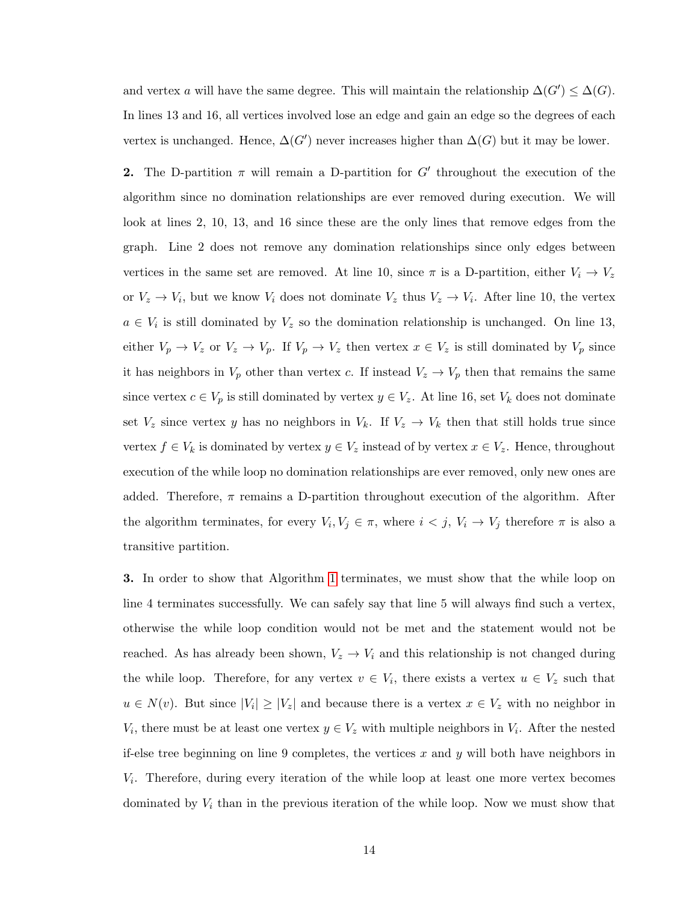and vertex a will have the same degree. This will maintain the relationship  $\Delta(G') \leq \Delta(G)$ . In lines 13 and 16, all vertices involved lose an edge and gain an edge so the degrees of each vertex is unchanged. Hence,  $\Delta(G')$  never increases higher than  $\Delta(G)$  but it may be lower.

**2.** The D-partition  $\pi$  will remain a D-partition for G' throughout the execution of the algorithm since no domination relationships are ever removed during execution. We will look at lines 2, 10, 13, and 16 since these are the only lines that remove edges from the graph. Line 2 does not remove any domination relationships since only edges between vertices in the same set are removed. At line 10, since  $\pi$  is a D-partition, either  $V_i \rightarrow V_z$ or  $V_z \to V_i$ , but we know  $V_i$  does not dominate  $V_z$  thus  $V_z \to V_i$ . After line 10, the vertex  $a \in V_i$  is still dominated by  $V_z$  so the domination relationship is unchanged. On line 13, either  $V_p \to V_z$  or  $V_z \to V_p$ . If  $V_p \to V_z$  then vertex  $x \in V_z$  is still dominated by  $V_p$  since it has neighbors in  $V_p$  other than vertex c. If instead  $V_z \rightarrow V_p$  then that remains the same since vertex  $c \in V_p$  is still dominated by vertex  $y \in V_z$ . At line 16, set  $V_k$  does not dominate set  $V_z$  since vertex y has no neighbors in  $V_k$ . If  $V_z \rightarrow V_k$  then that still holds true since vertex  $f \in V_k$  is dominated by vertex  $y \in V_z$  instead of by vertex  $x \in V_z$ . Hence, throughout execution of the while loop no domination relationships are ever removed, only new ones are added. Therefore,  $\pi$  remains a D-partition throughout execution of the algorithm. After the algorithm terminates, for every  $V_i, V_j \in \pi$ , where  $i < j$ ,  $V_i \to V_j$  therefore  $\pi$  is also a transitive partition.

3. In order to show that Algorithm [1](#page-21-0) terminates, we must show that the while loop on line 4 terminates successfully. We can safely say that line 5 will always find such a vertex, otherwise the while loop condition would not be met and the statement would not be reached. As has already been shown,  $V_z \rightarrow V_i$  and this relationship is not changed during the while loop. Therefore, for any vertex  $v \in V_i$ , there exists a vertex  $u \in V_z$  such that  $u \in N(v)$ . But since  $|V_i| \geq |V_z|$  and because there is a vertex  $x \in V_z$  with no neighbor in  $V_i$ , there must be at least one vertex  $y \in V_z$  with multiple neighbors in  $V_i$ . After the nested if-else tree beginning on line 9 completes, the vertices x and y will both have neighbors in Vi . Therefore, during every iteration of the while loop at least one more vertex becomes dominated by  $V_i$  than in the previous iteration of the while loop. Now we must show that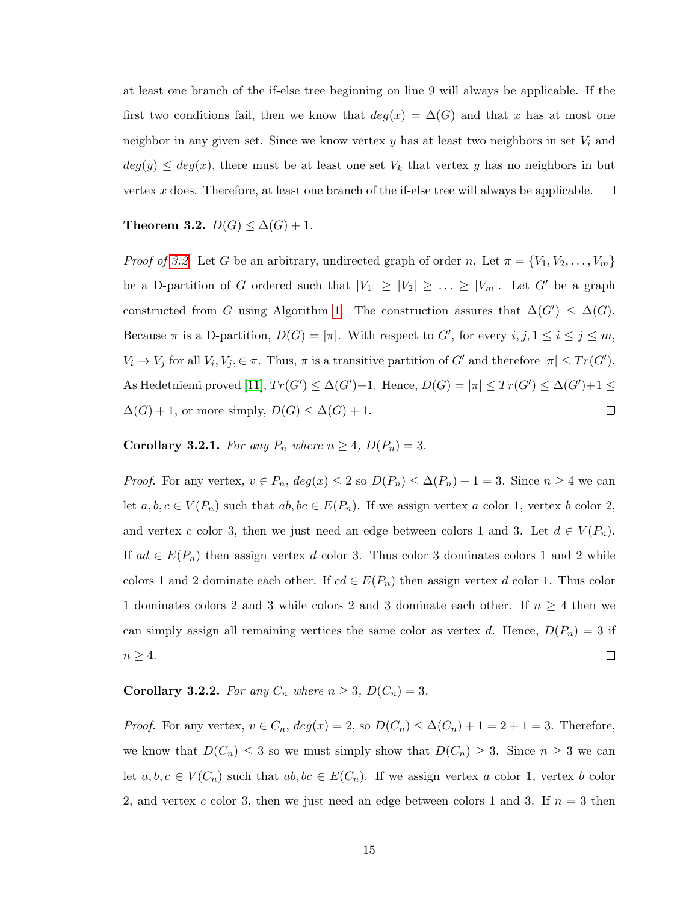at least one branch of the if-else tree beginning on line 9 will always be applicable. If the first two conditions fail, then we know that  $deg(x) = \Delta(G)$  and that x has at most one neighbor in any given set. Since we know vertex  $y$  has at least two neighbors in set  $V_i$  and  $deg(y) \leq deg(x)$ , there must be at least one set  $V_k$  that vertex y has no neighbors in but vertex x does. Therefore, at least one branch of the if-else tree will always be applicable.  $\Box$ 

#### <span id="page-23-0"></span>Theorem 3.2.  $D(G) \leq \Delta(G) + 1$ .

*Proof of [3.2.](#page-23-0)* Let G be an arbitrary, undirected graph of order n. Let  $\pi = \{V_1, V_2, \ldots, V_m\}$ be a D-partition of G ordered such that  $|V_1| \ge |V_2| \ge \ldots \ge |V_m|$ . Let G' be a graph constructed from G using Algorithm [1.](#page-21-0) The construction assures that  $\Delta(G') \leq \Delta(G)$ . Because  $\pi$  is a D-partition,  $D(G) = |\pi|$ . With respect to G', for every  $i, j, 1 \le i \le j \le m$ ,  $V_i \to V_j$  for all  $V_i, V_j \in \pi$ . Thus,  $\pi$  is a transitive partition of G' and therefore  $|\pi| \leq Tr(G')$ . As Hedetniemi proved [\[11\]](#page-38-2),  $Tr(G') \leq \Delta(G') + 1$ . Hence,  $D(G) = |\pi| \leq Tr(G') \leq \Delta(G') + 1 \leq$  $\Delta(G) + 1$ , or more simply,  $D(G) \leq \Delta(G) + 1$ .  $\Box$ 

Corollary 3.2.1. For any  $P_n$  where  $n \geq 4$ ,  $D(P_n) = 3$ .

*Proof.* For any vertex,  $v \in P_n$ ,  $deg(x) \leq 2$  so  $D(P_n) \leq \Delta(P_n) + 1 = 3$ . Since  $n \geq 4$  we can let  $a, b, c \in V(P_n)$  such that  $ab, bc \in E(P_n)$ . If we assign vertex a color 1, vertex b color 2, and vertex c color 3, then we just need an edge between colors 1 and 3. Let  $d \in V(P_n)$ . If  $ad \in E(P_n)$  then assign vertex d color 3. Thus color 3 dominates colors 1 and 2 while colors 1 and 2 dominate each other. If  $cd \in E(P_n)$  then assign vertex d color 1. Thus color 1 dominates colors 2 and 3 while colors 2 and 3 dominate each other. If  $n \geq 4$  then we can simply assign all remaining vertices the same color as vertex d. Hence,  $D(P_n) = 3$  if  $n \geq 4$ .  $\Box$ 

<span id="page-23-1"></span>Corollary 3.2.2. For any  $C_n$  where  $n \geq 3$ ,  $D(C_n) = 3$ .

*Proof.* For any vertex,  $v \in C_n$ ,  $deg(x) = 2$ , so  $D(C_n) \leq \Delta(C_n) + 1 = 2 + 1 = 3$ . Therefore, we know that  $D(C_n) \leq 3$  so we must simply show that  $D(C_n) \geq 3$ . Since  $n \geq 3$  we can let  $a, b, c \in V(C_n)$  such that  $ab, bc \in E(C_n)$ . If we assign vertex a color 1, vertex b color 2, and vertex c color 3, then we just need an edge between colors 1 and 3. If  $n = 3$  then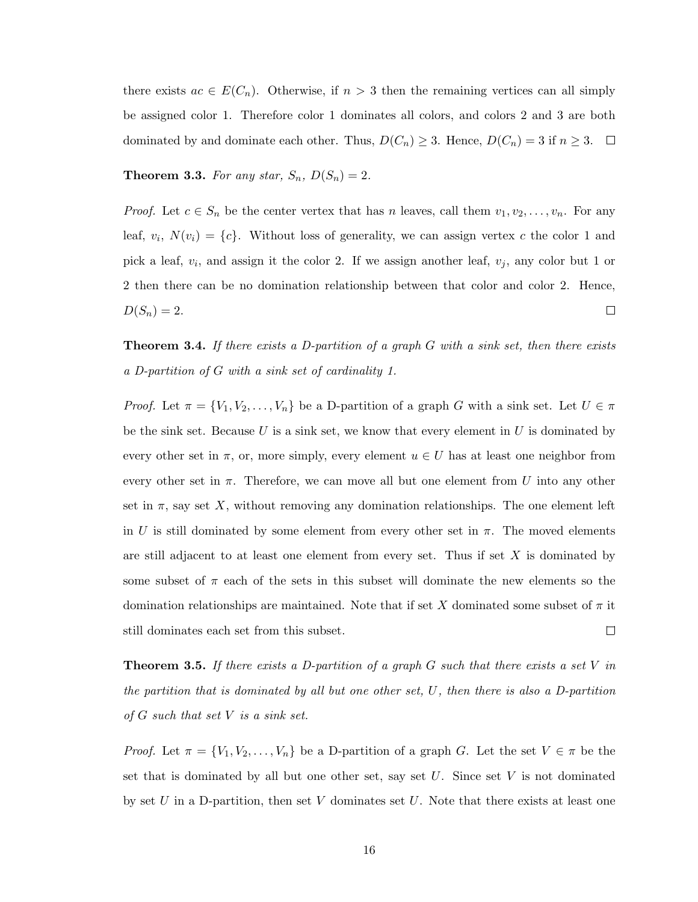there exists  $ac \in E(C_n)$ . Otherwise, if  $n > 3$  then the remaining vertices can all simply be assigned color 1. Therefore color 1 dominates all colors, and colors 2 and 3 are both dominated by and dominate each other. Thus,  $D(C_n) \geq 3$ . Hence,  $D(C_n) = 3$  if  $n \geq 3$ .  $\Box$ 

**Theorem 3.3.** For any star,  $S_n$ ,  $D(S_n) = 2$ .

*Proof.* Let  $c \in S_n$  be the center vertex that has n leaves, call them  $v_1, v_2, \ldots, v_n$ . For any leaf,  $v_i$ ,  $N(v_i) = \{c\}$ . Without loss of generality, we can assign vertex c the color 1 and pick a leaf,  $v_i$ , and assign it the color 2. If we assign another leaf,  $v_j$ , any color but 1 or 2 then there can be no domination relationship between that color and color 2. Hence,  $D(S_n) = 2.$  $\Box$ 

**Theorem 3.4.** If there exists a D-partition of a graph G with a sink set, then there exists a D-partition of G with a sink set of cardinality 1.

*Proof.* Let  $\pi = \{V_1, V_2, \ldots, V_n\}$  be a D-partition of a graph G with a sink set. Let  $U \in \pi$ be the sink set. Because  $U$  is a sink set, we know that every element in  $U$  is dominated by every other set in  $\pi$ , or, more simply, every element  $u \in U$  has at least one neighbor from every other set in  $\pi$ . Therefore, we can move all but one element from U into any other set in  $\pi$ , say set X, without removing any domination relationships. The one element left in U is still dominated by some element from every other set in  $\pi$ . The moved elements are still adjacent to at least one element from every set. Thus if set  $X$  is dominated by some subset of  $\pi$  each of the sets in this subset will dominate the new elements so the domination relationships are maintained. Note that if set X dominated some subset of  $\pi$  it still dominates each set from this subset.  $\Box$ 

**Theorem 3.5.** If there exists a D-partition of a graph  $G$  such that there exists a set V in the partition that is dominated by all but one other set, U, then there is also a D-partition of  $G$  such that set  $V$  is a sink set.

*Proof.* Let  $\pi = \{V_1, V_2, \ldots, V_n\}$  be a D-partition of a graph G. Let the set  $V \in \pi$  be the set that is dominated by all but one other set, say set  $U$ . Since set  $V$  is not dominated by set U in a D-partition, then set V dominates set U. Note that there exists at least one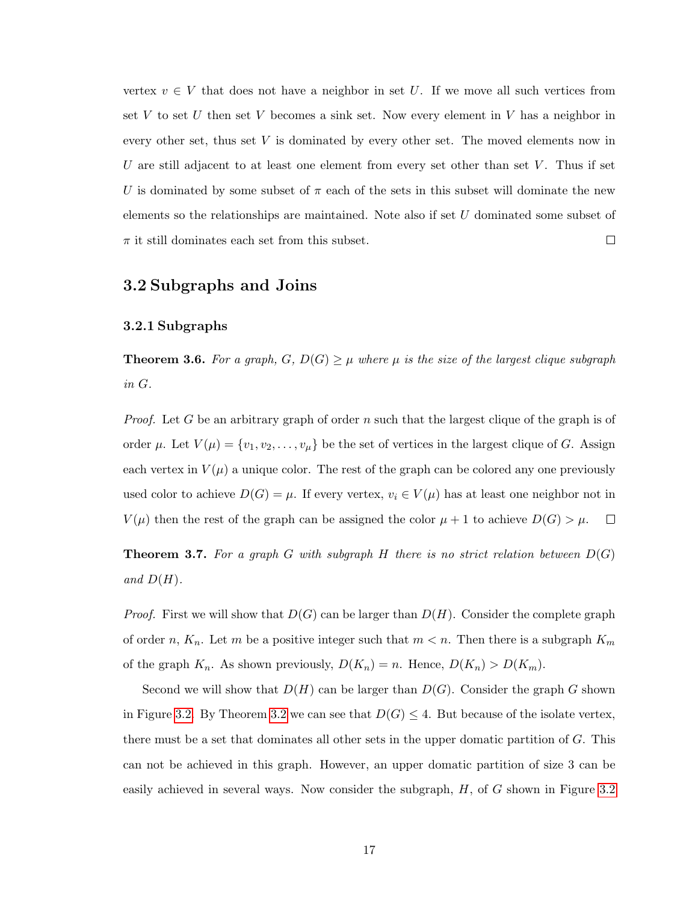vertex  $v \in V$  that does not have a neighbor in set U. If we move all such vertices from set  $V$  to set  $U$  then set  $V$  becomes a sink set. Now every element in  $V$  has a neighbor in every other set, thus set V is dominated by every other set. The moved elements now in U are still adjacent to at least one element from every set other than set  $V$ . Thus if set U is dominated by some subset of  $\pi$  each of the sets in this subset will dominate the new elements so the relationships are maintained. Note also if set U dominated some subset of  $\pi$  it still dominates each set from this subset.  $\Box$ 

#### <span id="page-25-0"></span>3.2 Subgraphs and Joins

#### <span id="page-25-1"></span>3.2.1 Subgraphs

**Theorem 3.6.** For a graph,  $G, D(G) \geq \mu$  where  $\mu$  is the size of the largest clique subgraph in G.

*Proof.* Let G be an arbitrary graph of order n such that the largest clique of the graph is of order  $\mu$ . Let  $V(\mu) = \{v_1, v_2, \dots, v_{\mu}\}\$ be the set of vertices in the largest clique of G. Assign each vertex in  $V(\mu)$  a unique color. The rest of the graph can be colored any one previously used color to achieve  $D(G) = \mu$ . If every vertex,  $v_i \in V(\mu)$  has at least one neighbor not in  $V(\mu)$  then the rest of the graph can be assigned the color  $\mu + 1$  to achieve  $D(G) > \mu$ .  $\Box$ 

**Theorem 3.7.** For a graph G with subgraph H there is no strict relation between  $D(G)$ and  $D(H)$ .

*Proof.* First we will show that  $D(G)$  can be larger than  $D(H)$ . Consider the complete graph of order n,  $K_n$ . Let m be a positive integer such that  $m < n$ . Then there is a subgraph  $K_m$ of the graph  $K_n$ . As shown previously,  $D(K_n) = n$ . Hence,  $D(K_n) > D(K_m)$ .

Second we will show that  $D(H)$  can be larger than  $D(G)$ . Consider the graph G shown in Figure [3.2.](#page-26-1) By Theorem [3.2](#page-23-0) we can see that  $D(G) \leq 4$ . But because of the isolate vertex, there must be a set that dominates all other sets in the upper domatic partition of  $G$ . This can not be achieved in this graph. However, an upper domatic partition of size 3 can be easily achieved in several ways. Now consider the subgraph, H, of G shown in Figure [3.2](#page-26-1)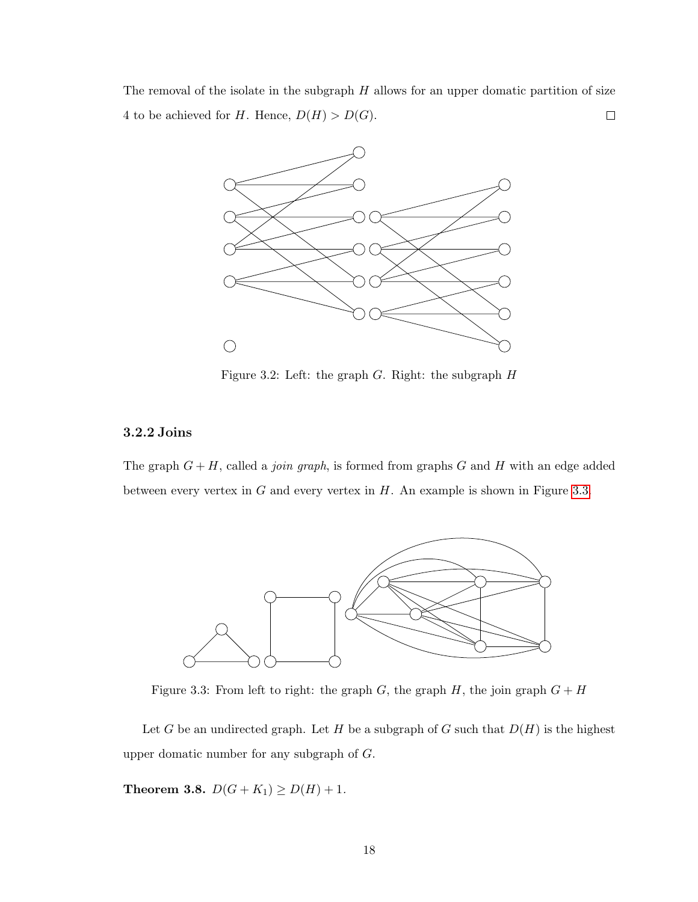The removal of the isolate in the subgraph  $H$  allows for an upper domatic partition of size  $\Box$ 4 to be achieved for H. Hence,  $D(H) > D(G)$ .



<span id="page-26-1"></span>Figure 3.2: Left: the graph  $G$ . Right: the subgraph  $H$ 

#### <span id="page-26-0"></span>3.2.2 Joins

The graph  $G + H$ , called a *join graph*, is formed from graphs G and H with an edge added between every vertex in  $G$  and every vertex in  $H$ . An example is shown in Figure [3.3.](#page-26-2)



<span id="page-26-2"></span>Figure 3.3: From left to right: the graph  $G$ , the graph  $H$ , the join graph  $G + H$ 

Let G be an undirected graph. Let H be a subgraph of G such that  $D(H)$  is the highest upper domatic number for any subgraph of G.

**Theorem 3.8.**  $D(G + K_1) \ge D(H) + 1$ .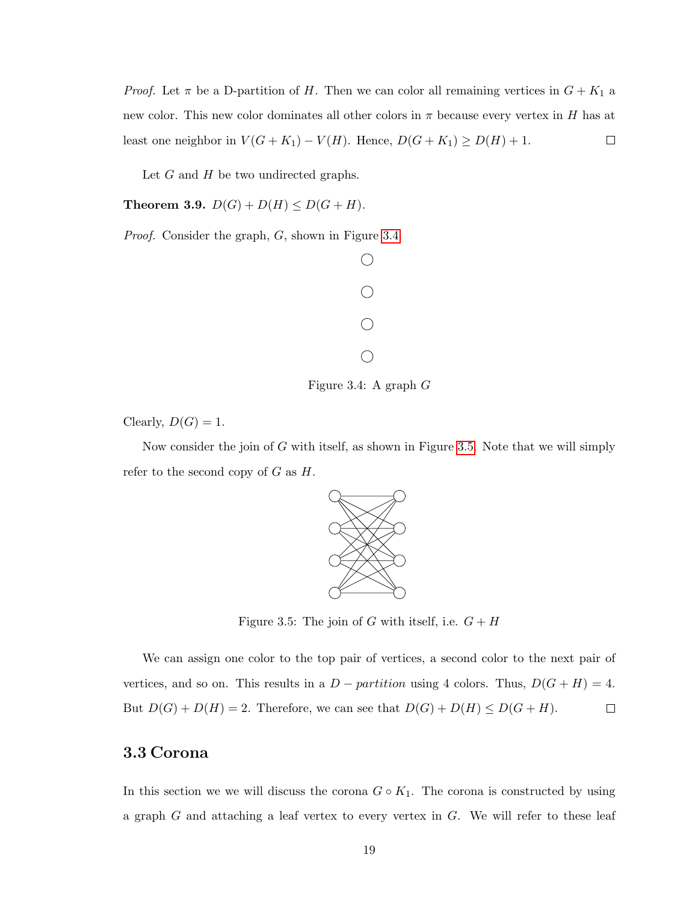*Proof.* Let  $\pi$  be a D-partition of H. Then we can color all remaining vertices in  $G + K_1$  a new color. This new color dominates all other colors in  $\pi$  because every vertex in H has at least one neighbor in  $V(G+K_1) - V(H)$ . Hence,  $D(G+K_1) \ge D(H) + 1$ .  $\Box$ 

Let  $G$  and  $H$  be two undirected graphs.

**Theorem 3.9.**  $D(G) + D(H) \leq D(G + H)$ .

Proof. Consider the graph, G, shown in Figure [3.4.](#page-27-1)



<span id="page-27-1"></span>Figure 3.4: A graph G

Clearly,  $D(G) = 1$ .

Now consider the join of G with itself, as shown in Figure [3.5.](#page-27-2) Note that we will simply refer to the second copy of  $G$  as  $H$ .

<span id="page-27-2"></span>

Figure 3.5: The join of G with itself, i.e.  $G + H$ 

We can assign one color to the top pair of vertices, a second color to the next pair of vertices, and so on. This results in a  $D -$  partition using 4 colors. Thus,  $D(G + H) = 4$ . But  $D(G) + D(H) = 2$ . Therefore, we can see that  $D(G) + D(H) \le D(G + H)$ .  $\Box$ 

#### <span id="page-27-0"></span>3.3 Corona

In this section we we will discuss the corona  $G \circ K_1$ . The corona is constructed by using a graph  $G$  and attaching a leaf vertex to every vertex in  $G$ . We will refer to these leaf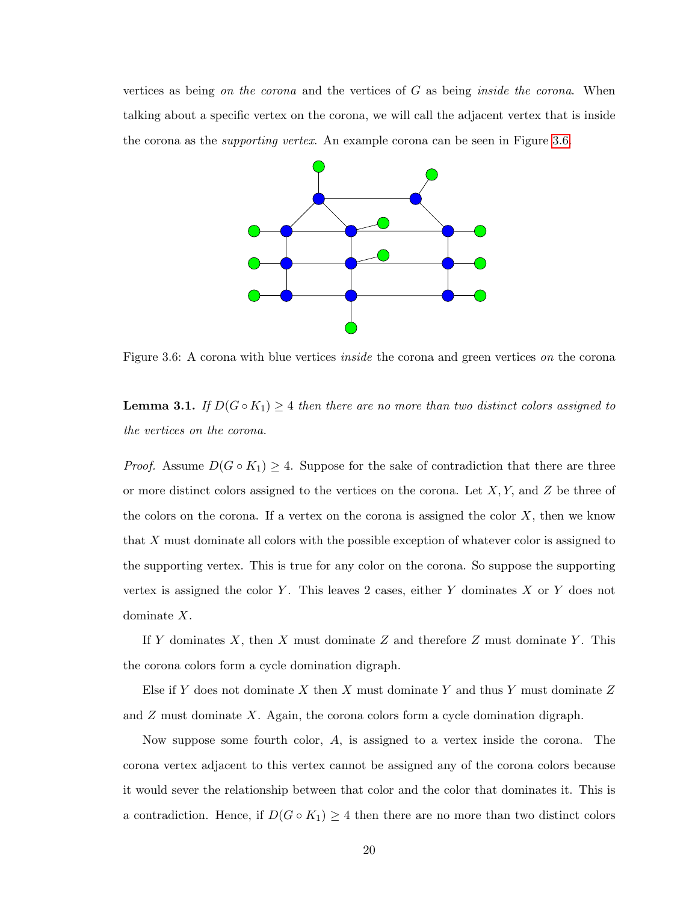vertices as being on the corona and the vertices of G as being *inside the corona*. When talking about a specific vertex on the corona, we will call the adjacent vertex that is inside the corona as the *supporting vertex*. An example corona can be seen in Figure [3.6.](#page-28-0)

<span id="page-28-0"></span>

Figure 3.6: A corona with blue vertices *inside* the corona and green vertices on the corona

**Lemma 3.1.** If  $D(G \circ K_1) \geq 4$  then there are no more than two distinct colors assigned to the vertices on the corona.

*Proof.* Assume  $D(G \circ K_1) \geq 4$ . Suppose for the sake of contradiction that there are three or more distinct colors assigned to the vertices on the corona. Let  $X, Y$ , and  $Z$  be three of the colors on the corona. If a vertex on the corona is assigned the color  $X$ , then we know that X must dominate all colors with the possible exception of whatever color is assigned to the supporting vertex. This is true for any color on the corona. So suppose the supporting vertex is assigned the color Y. This leaves 2 cases, either Y dominates  $X$  or Y does not dominate X.

If Y dominates  $X$ , then X must dominate Z and therefore Z must dominate Y. This the corona colors form a cycle domination digraph.

Else if Y does not dominate X then X must dominate Y and thus Y must dominate  $Z$ and  $Z$  must dominate  $X$ . Again, the corona colors form a cycle domination digraph.

Now suppose some fourth color, A, is assigned to a vertex inside the corona. The corona vertex adjacent to this vertex cannot be assigned any of the corona colors because it would sever the relationship between that color and the color that dominates it. This is a contradiction. Hence, if  $D(G \circ K_1) \geq 4$  then there are no more than two distinct colors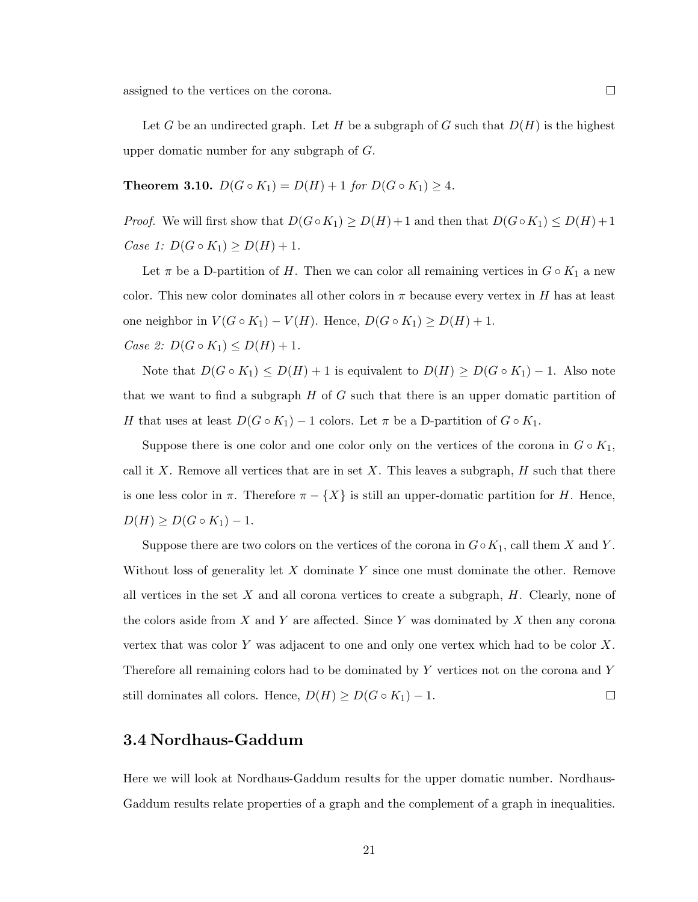assigned to the vertices on the corona.

Let G be an undirected graph. Let H be a subgraph of G such that  $D(H)$  is the highest upper domatic number for any subgraph of G.

**Theorem 3.10.**  $D(G \circ K_1) = D(H) + 1$  for  $D(G \circ K_1) \geq 4$ .

*Proof.* We will first show that  $D(G \circ K_1) \ge D(H) + 1$  and then that  $D(G \circ K_1) \le D(H) + 1$ *Case 1:*  $D(G \circ K_1) \ge D(H) + 1$ .

Let  $\pi$  be a D-partition of H. Then we can color all remaining vertices in  $G \circ K_1$  a new color. This new color dominates all other colors in  $\pi$  because every vertex in H has at least one neighbor in  $V(G \circ K_1) - V(H)$ . Hence,  $D(G \circ K_1) \ge D(H) + 1$ .

*Case 2:*  $D(G \circ K_1) \leq D(H) + 1$ .

Note that  $D(G \circ K_1) \leq D(H) + 1$  is equivalent to  $D(H) \geq D(G \circ K_1) - 1$ . Also note that we want to find a subgraph  $H$  of  $G$  such that there is an upper domatic partition of H that uses at least  $D(G \circ K_1) - 1$  colors. Let  $\pi$  be a D-partition of  $G \circ K_1$ .

Suppose there is one color and one color only on the vertices of the corona in  $G \circ K_1$ , call it X. Remove all vertices that are in set X. This leaves a subgraph,  $H$  such that there is one less color in  $\pi$ . Therefore  $\pi - \{X\}$  is still an upper-domatic partition for H. Hence,  $D(H) \ge D(G \circ K_1) - 1.$ 

Suppose there are two colors on the vertices of the corona in  $G ∘ K_1$ , call them X and Y. Without loss of generality let  $X$  dominate  $Y$  since one must dominate the other. Remove all vertices in the set  $X$  and all corona vertices to create a subgraph,  $H$ . Clearly, none of the colors aside from X and Y are affected. Since Y was dominated by X then any corona vertex that was color Y was adjacent to one and only one vertex which had to be color  $X$ . Therefore all remaining colors had to be dominated by Y vertices not on the corona and Y still dominates all colors. Hence,  $D(H) \ge D(G \circ K_1) - 1$ .  $\Box$ 

#### <span id="page-29-0"></span>3.4 Nordhaus-Gaddum

Here we will look at Nordhaus-Gaddum results for the upper domatic number. Nordhaus-Gaddum results relate properties of a graph and the complement of a graph in inequalities.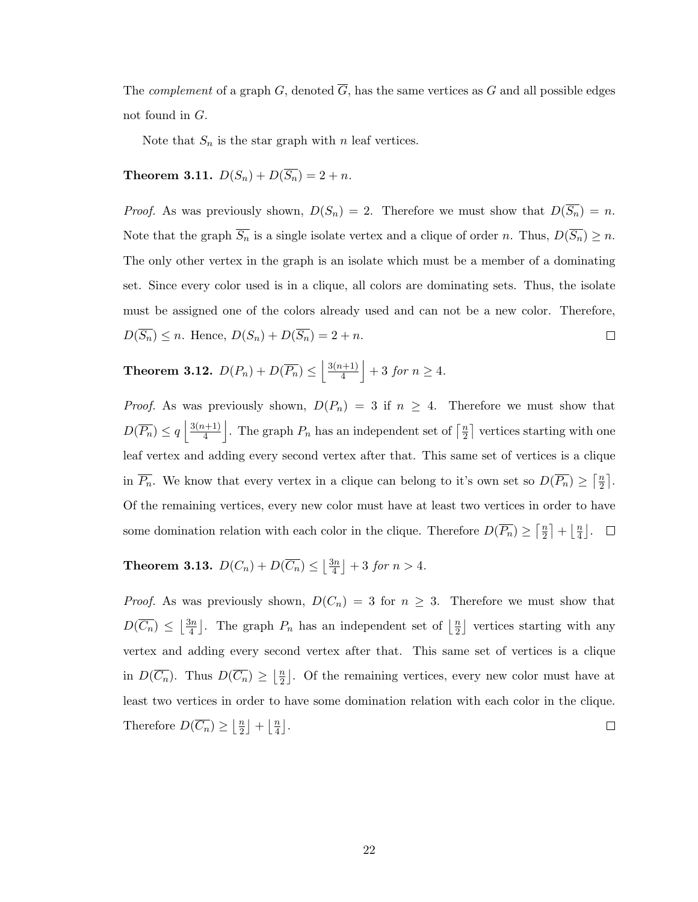The *complement* of a graph  $G$ , denoted  $\overline{G}$ , has the same vertices as  $G$  and all possible edges not found in G.

Note that  $S_n$  is the star graph with n leaf vertices.

## **Theorem 3.11.**  $D(S_n) + D(\overline{S_n}) = 2 + n$ .

*Proof.* As was previously shown,  $D(S_n) = 2$ . Therefore we must show that  $D(\overline{S_n}) = n$ . Note that the graph  $\overline{S_n}$  is a single isolate vertex and a clique of order n. Thus,  $D(\overline{S_n}) \geq n$ . The only other vertex in the graph is an isolate which must be a member of a dominating set. Since every color used is in a clique, all colors are dominating sets. Thus, the isolate must be assigned one of the colors already used and can not be a new color. Therefore,  $D(\overline{S_n}) \leq n$ . Hence,  $D(S_n) + D(\overline{S_n}) = 2 + n$ .  $\Box$ 

#### Theorem 3.12.  $D(P_n) + D(\overline{P_n}) \le \left| \frac{3(n+1)}{4} \right|$  $\frac{h+1)}{4}$  + 3 for  $n \geq 4$ .

*Proof.* As was previously shown,  $D(P_n) = 3$  if  $n \geq 4$ . Therefore we must show that  $D(\overline{P_n}) \leq q \left( \frac{3(n+1)}{4} \right)$  $\frac{(n+1)}{4}$ . The graph  $P_n$  has an independent set of  $\lceil \frac{n}{2} \rceil$  $\frac{n}{2}$  vertices starting with one leaf vertex and adding every second vertex after that. This same set of vertices is a clique in  $\overline{P_n}$ . We know that every vertex in a clique can belong to it's own set so  $D(\overline{P_n}) \geq \lceil \frac{n}{2} \rceil$  $\frac{n}{2}$ . Of the remaining vertices, every new color must have at least two vertices in order to have some domination relation with each color in the clique. Therefore  $D(\overline{P_n}) \geq \lceil \frac{n}{2} \rceil$  $\frac{n}{2}$  +  $\frac{n}{4}$  $\frac{n}{4}$ .

**Theorem 3.13.**  $D(C_n) + D(\overline{C_n}) \leq |\frac{3n}{4}|$  $\frac{3n}{4}$  | + 3 for  $n > 4$ .

*Proof.* As was previously shown,  $D(C_n) = 3$  for  $n \geq 3$ . Therefore we must show that  $D(\overline{C_n}) \leq \left| \frac{3n}{4} \right|$  $\frac{3n}{4}$ . The graph  $P_n$  has an independent set of  $\left\lfloor \frac{n}{2} \right\rfloor$  $\frac{n}{2}$  vertices starting with any vertex and adding every second vertex after that. This same set of vertices is a clique in  $D(\overline{C_n})$ . Thus  $D(\overline{C_n}) \geq \left| \frac{n}{2} \right|$  $\frac{n}{2}$ . Of the remaining vertices, every new color must have at least two vertices in order to have some domination relation with each color in the clique. Therefore  $D(\overline{C_n}) \geq |\frac{n}{2}|$  $\frac{n}{2}$  +  $\frac{n}{4}$  $\frac{n}{4}$ .  $\Box$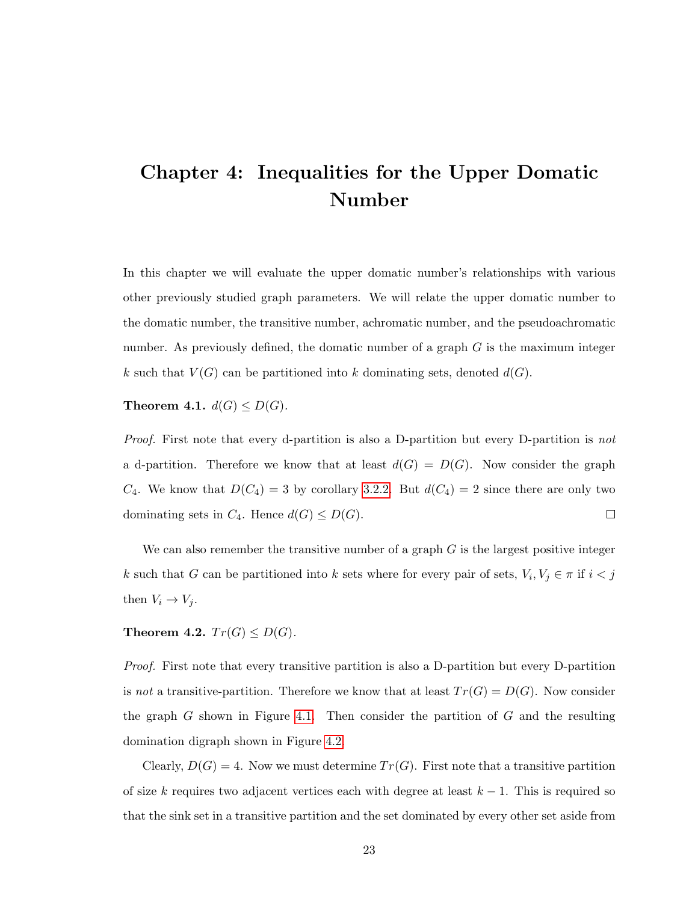## <span id="page-31-0"></span>Chapter 4: Inequalities for the Upper Domatic Number

In this chapter we will evaluate the upper domatic number's relationships with various other previously studied graph parameters. We will relate the upper domatic number to the domatic number, the transitive number, achromatic number, and the pseudoachromatic number. As previously defined, the domatic number of a graph  $G$  is the maximum integer k such that  $V(G)$  can be partitioned into k dominating sets, denoted  $d(G)$ .

Theorem 4.1.  $d(G) \leq D(G)$ .

Proof. First note that every d-partition is also a D-partition but every D-partition is not a d-partition. Therefore we know that at least  $d(G) = D(G)$ . Now consider the graph  $C_4$ . We know that  $D(C_4) = 3$  by corollary [3.2.2.](#page-23-1) But  $d(C_4) = 2$  since there are only two dominating sets in  $C_4$ . Hence  $d(G) \leq D(G)$ .  $\Box$ 

We can also remember the transitive number of a graph  $G$  is the largest positive integer k such that G can be partitioned into k sets where for every pair of sets,  $V_i, V_j \in \pi$  if  $i < j$ then  $V_i \rightarrow V_j$ .

Theorem 4.2.  $Tr(G) \leq D(G)$ .

Proof. First note that every transitive partition is also a D-partition but every D-partition is not a transitive-partition. Therefore we know that at least  $Tr(G) = D(G)$ . Now consider the graph G shown in Figure [4.1.](#page-32-0) Then consider the partition of  $G$  and the resulting domination digraph shown in Figure [4.2.](#page-32-1)

Clearly,  $D(G) = 4$ . Now we must determine  $Tr(G)$ . First note that a transitive partition of size k requires two adjacent vertices each with degree at least  $k - 1$ . This is required so that the sink set in a transitive partition and the set dominated by every other set aside from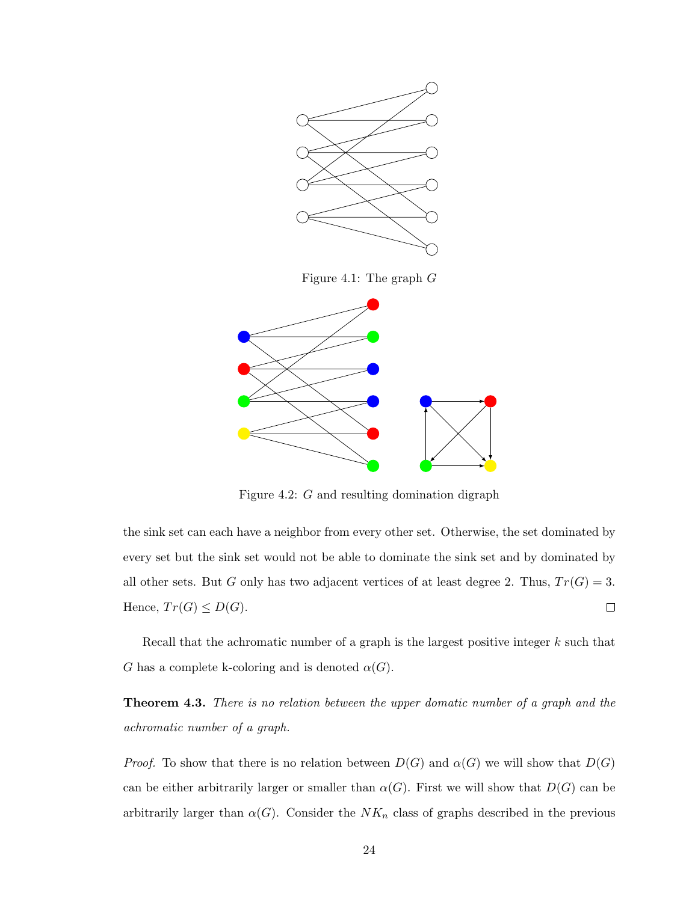<span id="page-32-0"></span>

<span id="page-32-1"></span>Figure 4.2: G and resulting domination digraph

the sink set can each have a neighbor from every other set. Otherwise, the set dominated by every set but the sink set would not be able to dominate the sink set and by dominated by all other sets. But G only has two adjacent vertices of at least degree 2. Thus,  $Tr(G) = 3$ . Hence,  $Tr(G) \leq D(G)$ .  $\Box$ 

Recall that the achromatic number of a graph is the largest positive integer  $k$  such that G has a complete k-coloring and is denoted  $\alpha(G)$ .

**Theorem 4.3.** There is no relation between the upper domatic number of a graph and the achromatic number of a graph.

*Proof.* To show that there is no relation between  $D(G)$  and  $\alpha(G)$  we will show that  $D(G)$ can be either arbitrarily larger or smaller than  $\alpha(G)$ . First we will show that  $D(G)$  can be arbitrarily larger than  $\alpha(G)$ . Consider the  $NK_n$  class of graphs described in the previous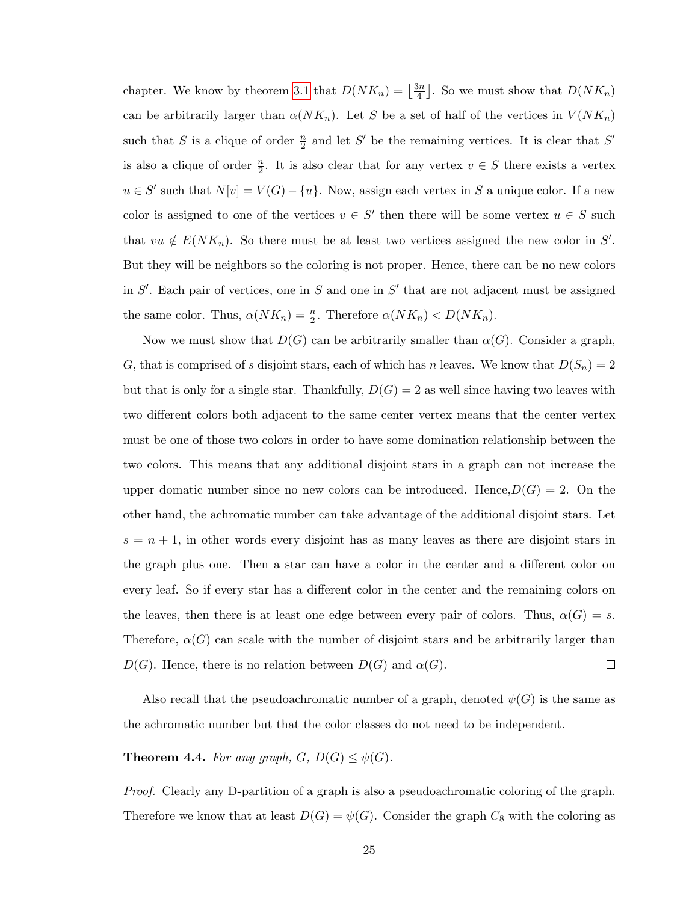chapter. We know by theorem [3.1](#page-19-3) that  $D(NK_n) = \left|\frac{3n}{4}\right|$  $\frac{3n}{4}$ . So we must show that  $D(NK_n)$ can be arbitrarily larger than  $\alpha(NK_n)$ . Let S be a set of half of the vertices in  $V(NK_n)$ such that S is a clique of order  $\frac{n}{2}$  and let S' be the remaining vertices. It is clear that S' is also a clique of order  $\frac{n}{2}$ . It is also clear that for any vertex  $v \in S$  there exists a vertex  $u \in S'$  such that  $N[v] = V(G) - \{u\}$ . Now, assign each vertex in S a unique color. If a new color is assigned to one of the vertices  $v \in S'$  then there will be some vertex  $u \in S$  such that  $vu \notin E(NK_n)$ . So there must be at least two vertices assigned the new color in S'. But they will be neighbors so the coloring is not proper. Hence, there can be no new colors in  $S'$ . Each pair of vertices, one in S and one in  $S'$  that are not adjacent must be assigned the same color. Thus,  $\alpha(NK_n) = \frac{n}{2}$ . Therefore  $\alpha(NK_n) < D(NK_n)$ .

Now we must show that  $D(G)$  can be arbitrarily smaller than  $\alpha(G)$ . Consider a graph, G, that is comprised of s disjoint stars, each of which has n leaves. We know that  $D(S_n) = 2$ but that is only for a single star. Thankfully,  $D(G) = 2$  as well since having two leaves with two different colors both adjacent to the same center vertex means that the center vertex must be one of those two colors in order to have some domination relationship between the two colors. This means that any additional disjoint stars in a graph can not increase the upper domatic number since no new colors can be introduced. Hence,  $D(G) = 2$ . On the other hand, the achromatic number can take advantage of the additional disjoint stars. Let  $s = n + 1$ , in other words every disjoint has as many leaves as there are disjoint stars in the graph plus one. Then a star can have a color in the center and a different color on every leaf. So if every star has a different color in the center and the remaining colors on the leaves, then there is at least one edge between every pair of colors. Thus,  $\alpha(G) = s$ . Therefore,  $\alpha(G)$  can scale with the number of disjoint stars and be arbitrarily larger than  $D(G)$ . Hence, there is no relation between  $D(G)$  and  $\alpha(G)$ .  $\Box$ 

Also recall that the pseudoachromatic number of a graph, denoted  $\psi(G)$  is the same as the achromatic number but that the color classes do not need to be independent.

**Theorem 4.4.** For any graph,  $G, D(G) \leq \psi(G)$ .

Proof. Clearly any D-partition of a graph is also a pseudoachromatic coloring of the graph. Therefore we know that at least  $D(G) = \psi(G)$ . Consider the graph  $C_8$  with the coloring as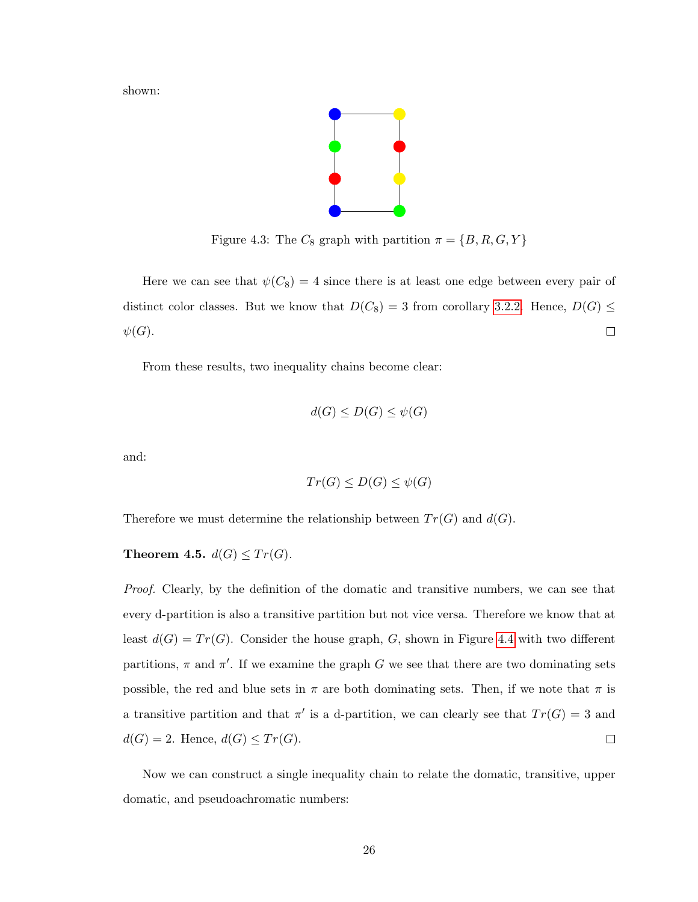shown:

<span id="page-34-0"></span>

Figure 4.3: The  $C_8$  graph with partition  $\pi = \{B, R, G, Y\}$ 

Here we can see that  $\psi(C_8) = 4$  since there is at least one edge between every pair of distinct color classes. But we know that  $D(C_8) = 3$  from corollary [3.2.2.](#page-23-1) Hence,  $D(G) \le$  $\hfill \square$  $\psi(G).$ 

From these results, two inequality chains become clear:

$$
d(G) \le D(G) \le \psi(G)
$$

and:

$$
Tr(G) \le D(G) \le \psi(G)
$$

Therefore we must determine the relationship between  $Tr(G)$  and  $d(G)$ .

<span id="page-34-1"></span>Theorem 4.5.  $d(G) \leq Tr(G)$ .

Proof. Clearly, by the definition of the domatic and transitive numbers, we can see that every d-partition is also a transitive partition but not vice versa. Therefore we know that at least  $d(G) = Tr(G)$ . Consider the house graph, G, shown in Figure [4.4](#page-35-0) with two different partitions,  $\pi$  and  $\pi'$ . If we examine the graph G we see that there are two dominating sets possible, the red and blue sets in  $\pi$  are both dominating sets. Then, if we note that  $\pi$  is a transitive partition and that  $\pi'$  is a d-partition, we can clearly see that  $Tr(G) = 3$  and  $d(G) = 2$ . Hence,  $d(G) \leq Tr(G)$ .  $\Box$ 

Now we can construct a single inequality chain to relate the domatic, transitive, upper domatic, and pseudoachromatic numbers: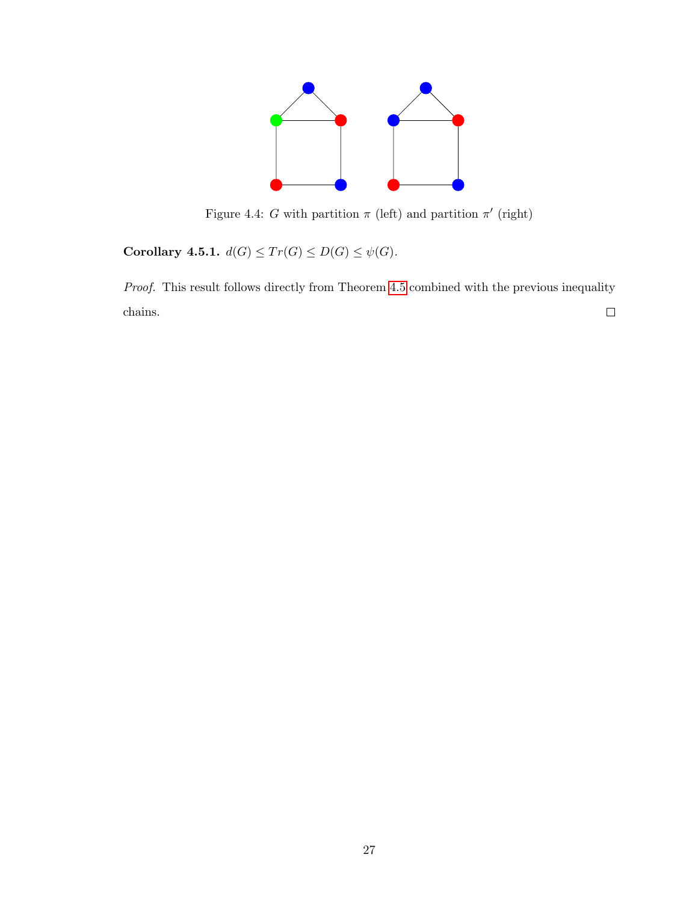<span id="page-35-0"></span>

Figure 4.4: G with partition  $\pi$  (left) and partition  $\pi'$  (right)

Corollary 4.5.1.  $d(G) \leq Tr(G) \leq D(G) \leq \psi(G)$ .

Proof. This result follows directly from Theorem [4.5](#page-34-1) combined with the previous inequality  $\Box$ chains.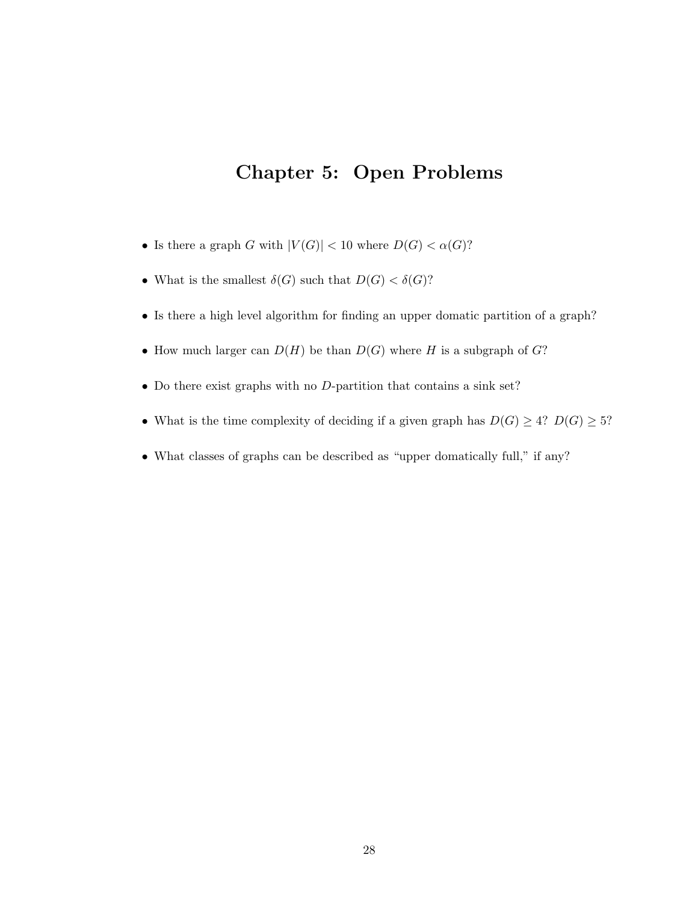## <span id="page-36-0"></span>Chapter 5: Open Problems

- Is there a graph G with  $|V(G)| < 10$  where  $D(G) < \alpha(G)$ ?
- What is the smallest  $\delta(G)$  such that  $D(G) < \delta(G)$ ?
- Is there a high level algorithm for finding an upper domatic partition of a graph?
- How much larger can  $D(H)$  be than  $D(G)$  where H is a subgraph of  $G$ ?
- Do there exist graphs with no D-partition that contains a sink set?
- What is the time complexity of deciding if a given graph has  $D(G) \geq 4$ ?  $D(G) \geq 5$ ?
- What classes of graphs can be described as "upper domatically full," if any?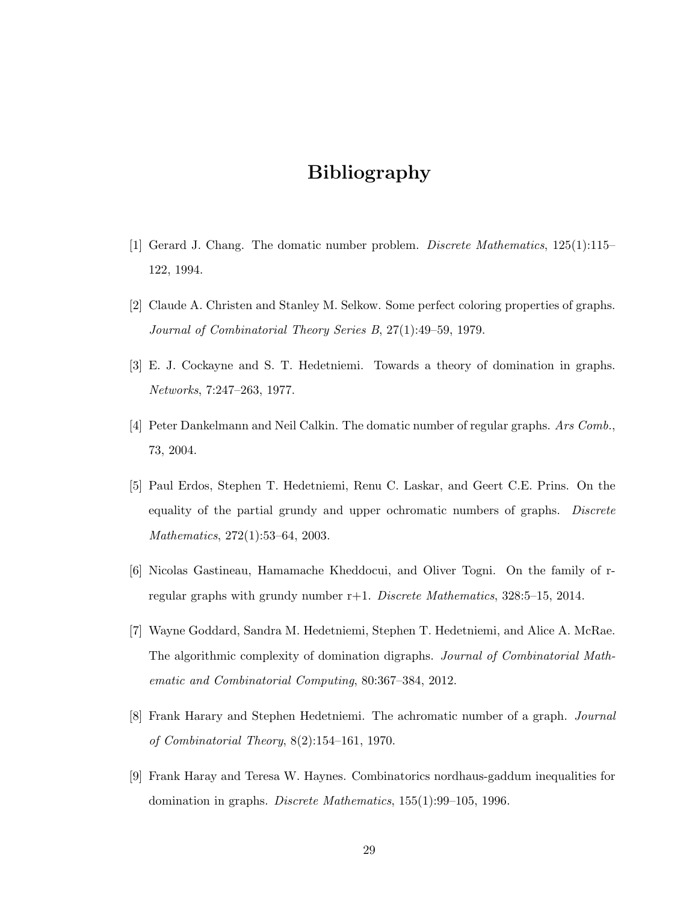## Bibliography

- <span id="page-37-1"></span><span id="page-37-0"></span>[1] Gerard J. Chang. The domatic number problem. Discrete Mathematics, 125(1):115– 122, 1994.
- <span id="page-37-2"></span>[2] Claude A. Christen and Stanley M. Selkow. Some perfect coloring properties of graphs. Journal of Combinatorial Theory Series B, 27(1):49–59, 1979.
- <span id="page-37-5"></span>[3] E. J. Cockayne and S. T. Hedetniemi. Towards a theory of domination in graphs. Networks, 7:247–263, 1977.
- <span id="page-37-7"></span>[4] Peter Dankelmann and Neil Calkin. The domatic number of regular graphs. Ars Comb., 73, 2004.
- <span id="page-37-4"></span>[5] Paul Erdos, Stephen T. Hedetniemi, Renu C. Laskar, and Geert C.E. Prins. On the equality of the partial grundy and upper ochromatic numbers of graphs. Discrete Mathematics, 272(1):53–64, 2003.
- <span id="page-37-8"></span>[6] Nicolas Gastineau, Hamamache Kheddocui, and Oliver Togni. On the family of rregular graphs with grundy number r+1. Discrete Mathematics, 328:5–15, 2014.
- <span id="page-37-6"></span>[7] Wayne Goddard, Sandra M. Hedetniemi, Stephen T. Hedetniemi, and Alice A. McRae. The algorithmic complexity of domination digraphs. Journal of Combinatorial Mathematic and Combinatorial Computing, 80:367–384, 2012.
- <span id="page-37-3"></span>[8] Frank Harary and Stephen Hedetniemi. The achromatic number of a graph. Journal of Combinatorial Theory, 8(2):154–161, 1970.
- <span id="page-37-9"></span>[9] Frank Haray and Teresa W. Haynes. Combinatorics nordhaus-gaddum inequalities for domination in graphs. Discrete Mathematics, 155(1):99–105, 1996.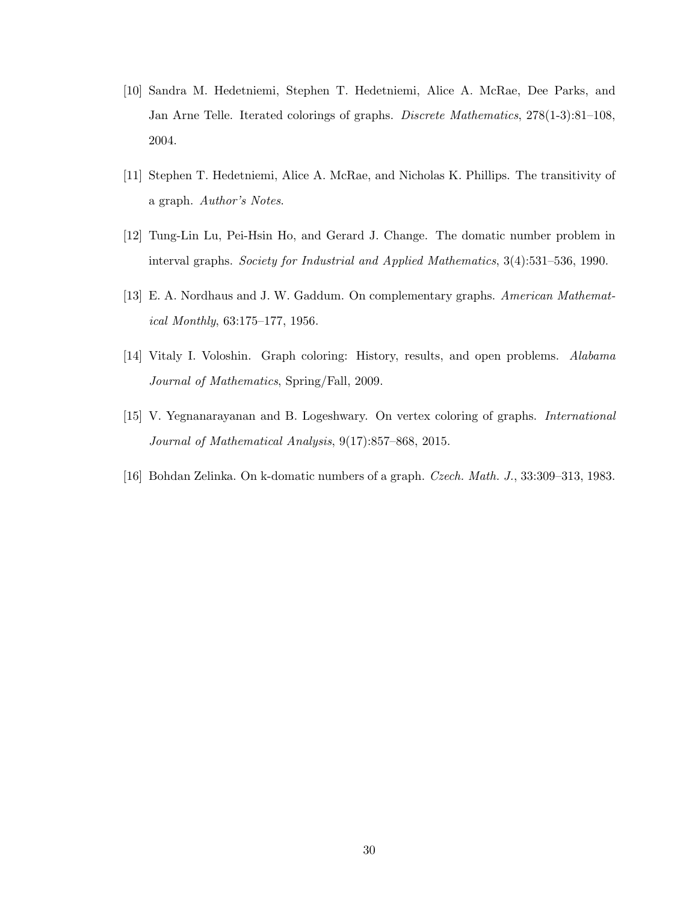- <span id="page-38-4"></span>[10] Sandra M. Hedetniemi, Stephen T. Hedetniemi, Alice A. McRae, Dee Parks, and Jan Arne Telle. Iterated colorings of graphs. Discrete Mathematics, 278(1-3):81–108, 2004.
- <span id="page-38-2"></span>[11] Stephen T. Hedetniemi, Alice A. McRae, and Nicholas K. Phillips. The transitivity of a graph. Author's Notes.
- <span id="page-38-5"></span>[12] Tung-Lin Lu, Pei-Hsin Ho, and Gerard J. Change. The domatic number problem in interval graphs. Society for Industrial and Applied Mathematics, 3(4):531–536, 1990.
- <span id="page-38-3"></span>[13] E. A. Nordhaus and J. W. Gaddum. On complementary graphs. American Mathematical Monthly, 63:175–177, 1956.
- <span id="page-38-0"></span>[14] Vitaly I. Voloshin. Graph coloring: History, results, and open problems. Alabama Journal of Mathematics, Spring/Fall, 2009.
- <span id="page-38-1"></span>[15] V. Yegnanarayanan and B. Logeshwary. On vertex coloring of graphs. International Journal of Mathematical Analysis, 9(17):857–868, 2015.
- <span id="page-38-6"></span>[16] Bohdan Zelinka. On k-domatic numbers of a graph. Czech. Math. J., 33:309–313, 1983.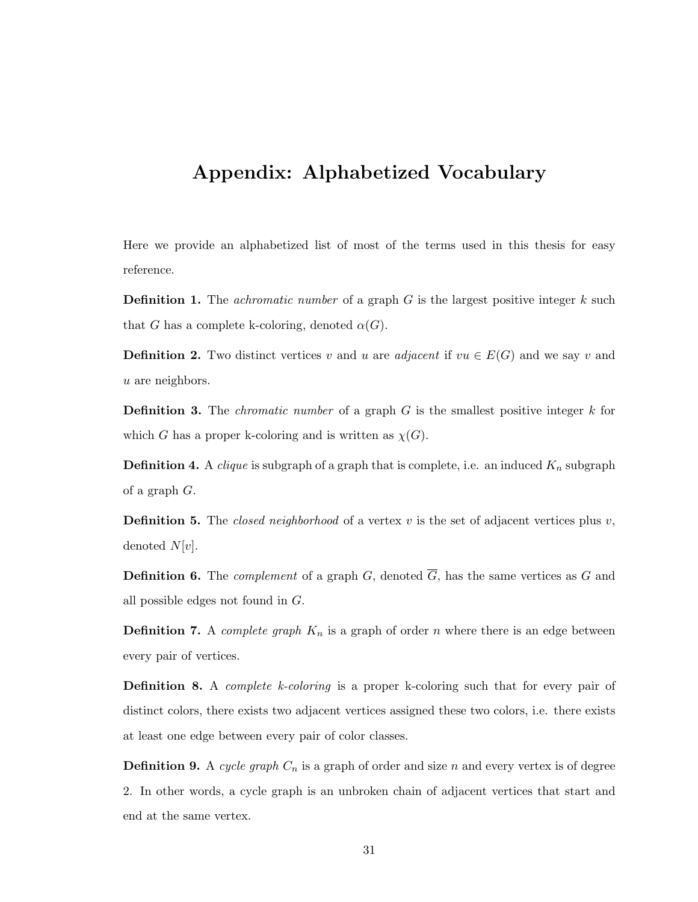## <span id="page-39-0"></span>Appendix: Alphabetized Vocabulary

Here we provide an alphabetized list of most of the terms used in this thesis for easy reference.

**Definition 1.** The *achromatic number* of a graph  $G$  is the largest positive integer  $k$  such that G has a complete k-coloring, denoted  $\alpha(G)$ .

**Definition 2.** Two distinct vertices v and u are adjacent if  $vu \in E(G)$  and we say v and u are neighbors.

**Definition 3.** The *chromatic number* of a graph  $G$  is the smallest positive integer  $k$  for which G has a proper k-coloring and is written as  $\chi(G)$ .

**Definition 4.** A *clique* is subgraph of a graph that is complete, i.e. an induced  $K_n$  subgraph of a graph G.

**Definition 5.** The *closed neighborhood* of a vertex  $v$  is the set of adjacent vertices plus  $v$ , denoted  $N[v]$ .

**Definition 6.** The *complement* of a graph G, denoted  $\overline{G}$ , has the same vertices as G and all possible edges not found in G.

**Definition 7.** A *complete graph*  $K_n$  is a graph of order n where there is an edge between every pair of vertices.

**Definition 8.** A *complete k-coloring* is a proper k-coloring such that for every pair of distinct colors, there exists two adjacent vertices assigned these two colors, i.e. there exists at least one edge between every pair of color classes.

**Definition 9.** A cycle graph  $C_n$  is a graph of order and size n and every vertex is of degree 2. In other words, a cycle graph is an unbroken chain of adjacent vertices that start and end at the same vertex.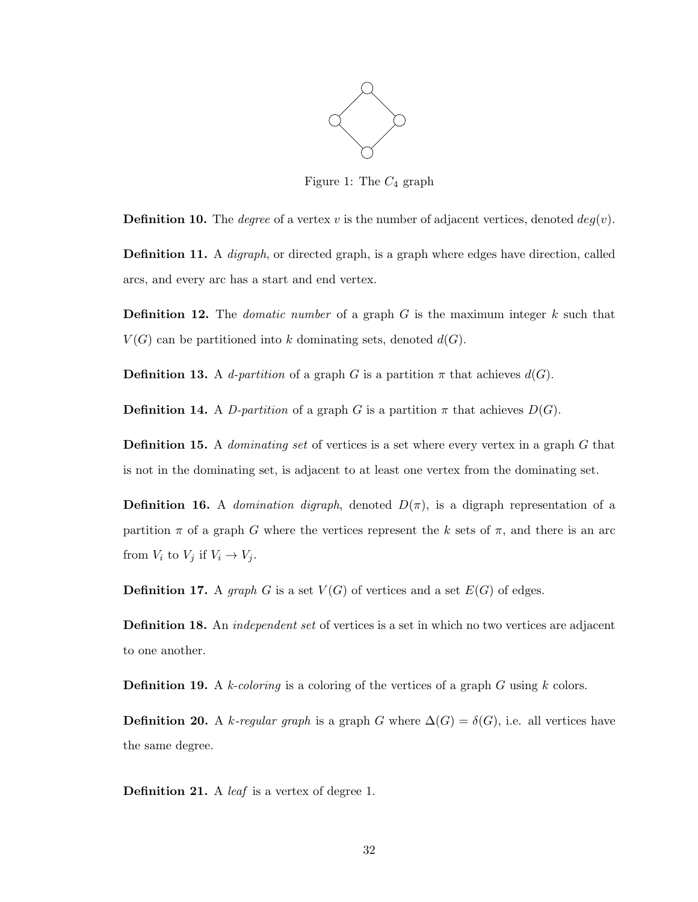

<span id="page-40-0"></span>Figure 1: The  $C_4$  graph

**Definition 10.** The *degree* of a vertex v is the number of adjacent vertices, denoted  $deg(v)$ .

Definition 11. A digraph, or directed graph, is a graph where edges have direction, called arcs, and every arc has a start and end vertex.

**Definition 12.** The *domatic number* of a graph  $G$  is the maximum integer  $k$  such that  $V(G)$  can be partitioned into k dominating sets, denoted  $d(G)$ .

**Definition 13.** A d-partition of a graph G is a partition  $\pi$  that achieves  $d(G)$ .

**Definition 14.** A D-partition of a graph G is a partition  $\pi$  that achieves  $D(G)$ .

**Definition 15.** A *dominating set* of vertices is a set where every vertex in a graph G that is not in the dominating set, is adjacent to at least one vertex from the dominating set.

**Definition 16.** A *domination digraph*, denoted  $D(\pi)$ , is a digraph representation of a partition  $\pi$  of a graph G where the vertices represent the k sets of  $\pi$ , and there is an arc from  $V_i$  to  $V_j$  if  $V_i \rightarrow V_j$ .

**Definition 17.** A graph G is a set  $V(G)$  of vertices and a set  $E(G)$  of edges.

Definition 18. An independent set of vertices is a set in which no two vertices are adjacent to one another.

**Definition 19.** A k-coloring is a coloring of the vertices of a graph G using k colors.

**Definition 20.** A k-regular graph is a graph G where  $\Delta(G) = \delta(G)$ , i.e. all vertices have the same degree.

Definition 21. A *leaf* is a vertex of degree 1.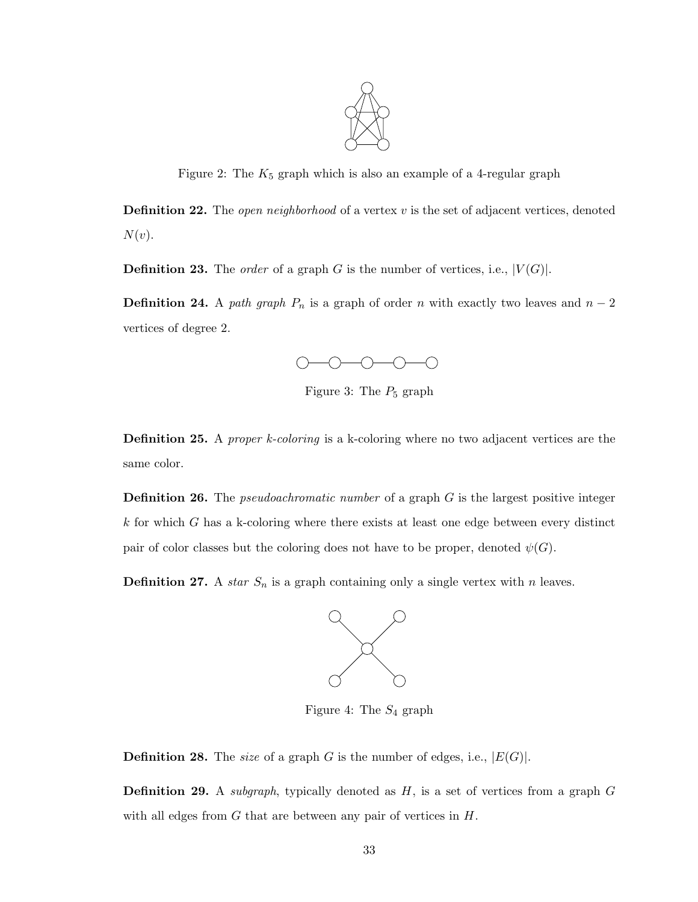<span id="page-41-0"></span>

Figure 2: The  $K_5$  graph which is also an example of a 4-regular graph

**Definition 22.** The *open neighborhood* of a vertex  $v$  is the set of adjacent vertices, denoted  $N(v).$ 

**Definition 23.** The *order* of a graph G is the number of vertices, i.e.,  $|V(G)|$ .

**Definition 24.** A path graph  $P_n$  is a graph of order n with exactly two leaves and  $n-2$ vertices of degree 2.



<span id="page-41-1"></span>Figure 3: The  $P_5$  graph

Definition 25. A *proper k-coloring* is a k-coloring where no two adjacent vertices are the same color.

**Definition 26.** The *pseudoachromatic number* of a graph  $G$  is the largest positive integer  $k$  for which  $G$  has a k-coloring where there exists at least one edge between every distinct pair of color classes but the coloring does not have to be proper, denoted  $\psi(G)$ .

**Definition 27.** A *star*  $S_n$  is a graph containing only a single vertex with n leaves.



<span id="page-41-2"></span>Figure 4: The  $S_4$  graph

**Definition 28.** The size of a graph G is the number of edges, i.e.,  $|E(G)|$ .

**Definition 29.** A *subgraph*, typically denoted as  $H$ , is a set of vertices from a graph  $G$ with all edges from  $G$  that are between any pair of vertices in  $H$ .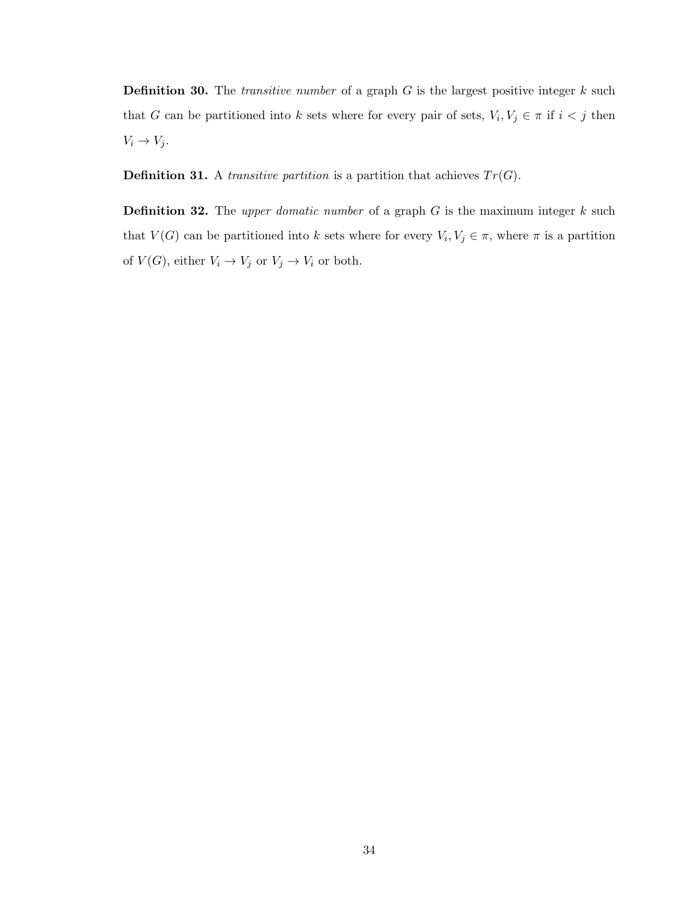**Definition 30.** The *transitive number* of a graph  $G$  is the largest positive integer  $k$  such that G can be partitioned into k sets where for every pair of sets,  $V_i, V_j \in \pi$  if  $i < j$  then  $V_i \rightarrow V_j$ .

**Definition 31.** A *transitive partition* is a partition that achieves  $Tr(G)$ .

<span id="page-42-0"></span>**Definition 32.** The upper domatic number of a graph  $G$  is the maximum integer  $k$  such that  $V(G)$  can be partitioned into k sets where for every  $V_i, V_j \in \pi$ , where  $\pi$  is a partition of  $V(G)$ , either  $V_i \to V_j$  or  $V_j \to V_i$  or both.